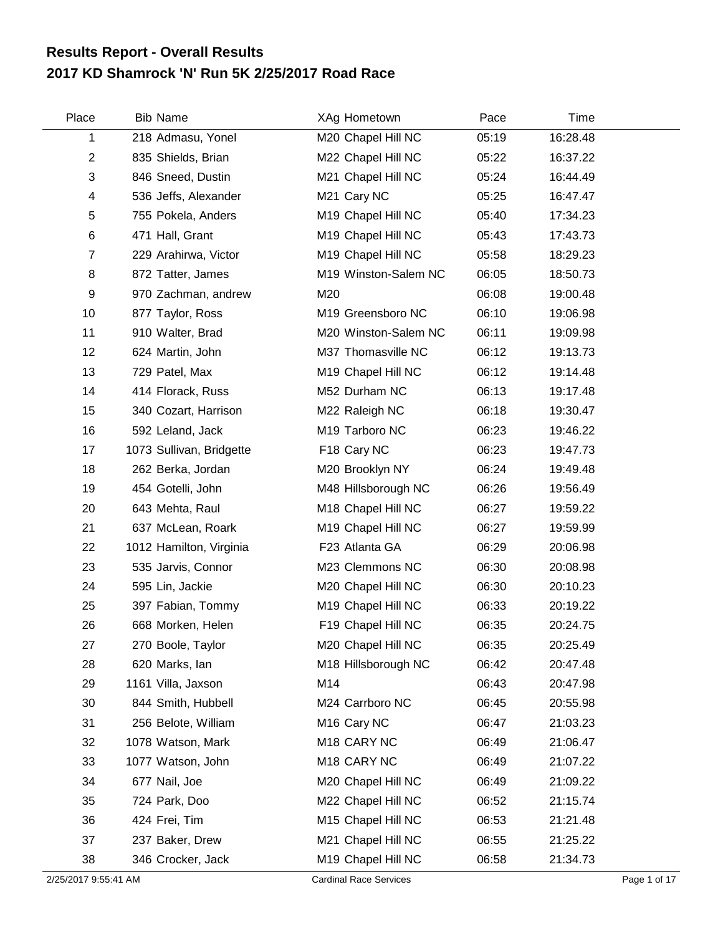## **2017 KD Shamrock 'N' Run 5K 2/25/2017 Road Race Results Report - Overall Results**

| Place          | <b>Bib Name</b>          | XAg Hometown            | Pace  | Time     |  |
|----------------|--------------------------|-------------------------|-------|----------|--|
| 1              | 218 Admasu, Yonel        | M20 Chapel Hill NC      | 05:19 | 16:28.48 |  |
| $\overline{c}$ | 835 Shields, Brian       | M22 Chapel Hill NC      | 05:22 | 16:37.22 |  |
| 3              | 846 Sneed, Dustin        | M21 Chapel Hill NC      | 05:24 | 16:44.49 |  |
| 4              | 536 Jeffs, Alexander     | M21 Cary NC             | 05:25 | 16:47.47 |  |
| 5              | 755 Pokela, Anders       | M19 Chapel Hill NC      | 05:40 | 17:34.23 |  |
| 6              | 471 Hall, Grant          | M19 Chapel Hill NC      | 05:43 | 17:43.73 |  |
| 7              | 229 Arahirwa, Victor     | M19 Chapel Hill NC      | 05:58 | 18:29.23 |  |
| 8              | 872 Tatter, James        | M19 Winston-Salem NC    | 06:05 | 18:50.73 |  |
| 9              | 970 Zachman, andrew      | M20                     | 06:08 | 19:00.48 |  |
| 10             | 877 Taylor, Ross         | M19 Greensboro NC       | 06:10 | 19:06.98 |  |
| 11             | 910 Walter, Brad         | M20 Winston-Salem NC    | 06:11 | 19:09.98 |  |
| 12             | 624 Martin, John         | M37 Thomasville NC      | 06:12 | 19:13.73 |  |
| 13             | 729 Patel, Max           | M19 Chapel Hill NC      | 06:12 | 19:14.48 |  |
| 14             | 414 Florack, Russ        | M52 Durham NC           | 06:13 | 19:17.48 |  |
| 15             | 340 Cozart, Harrison     | M22 Raleigh NC          | 06:18 | 19:30.47 |  |
| 16             | 592 Leland, Jack         | M19 Tarboro NC          | 06:23 | 19:46.22 |  |
| 17             | 1073 Sullivan, Bridgette | F18 Cary NC             | 06:23 | 19:47.73 |  |
| 18             | 262 Berka, Jordan        | M20 Brooklyn NY         | 06:24 | 19:49.48 |  |
| 19             | 454 Gotelli, John        | M48 Hillsborough NC     | 06:26 | 19:56.49 |  |
| 20             | 643 Mehta, Raul          | M18 Chapel Hill NC      | 06:27 | 19:59.22 |  |
| 21             | 637 McLean, Roark        | M19 Chapel Hill NC      | 06:27 | 19:59.99 |  |
| 22             | 1012 Hamilton, Virginia  | F23 Atlanta GA          | 06:29 | 20:06.98 |  |
| 23             | 535 Jarvis, Connor       | M23 Clemmons NC         | 06:30 | 20:08.98 |  |
| 24             | 595 Lin, Jackie          | M20 Chapel Hill NC      | 06:30 | 20:10.23 |  |
| 25             | 397 Fabian, Tommy        | M19 Chapel Hill NC      | 06:33 | 20:19.22 |  |
| 26             | 668 Morken, Helen        | F19 Chapel Hill NC      | 06:35 | 20:24.75 |  |
| 27             | 270 Boole, Taylor        | M20 Chapel Hill NC      | 06:35 | 20:25.49 |  |
| 28             | 620 Marks, lan           | M18 Hillsborough NC     | 06:42 | 20:47.48 |  |
| 29             | 1161 Villa, Jaxson       | M14                     | 06:43 | 20:47.98 |  |
| 30             | 844 Smith, Hubbell       | M24 Carrboro NC         | 06:45 | 20:55.98 |  |
| 31             | 256 Belote, William      | M <sub>16</sub> Cary NC | 06:47 | 21:03.23 |  |
| 32             | 1078 Watson, Mark        | M <sub>18</sub> CARY NC | 06:49 | 21:06.47 |  |
| 33             | 1077 Watson, John        | M <sub>18</sub> CARY NC | 06:49 | 21:07.22 |  |
| 34             | 677 Nail, Joe            | M20 Chapel Hill NC      | 06:49 | 21:09.22 |  |
| 35             | 724 Park, Doo            | M22 Chapel Hill NC      | 06:52 | 21:15.74 |  |
| 36             | 424 Frei, Tim            | M15 Chapel Hill NC      | 06:53 | 21:21.48 |  |
| 37             | 237 Baker, Drew          | M21 Chapel Hill NC      | 06:55 | 21:25.22 |  |
| 38             | 346 Crocker, Jack        | M19 Chapel Hill NC      | 06:58 | 21:34.73 |  |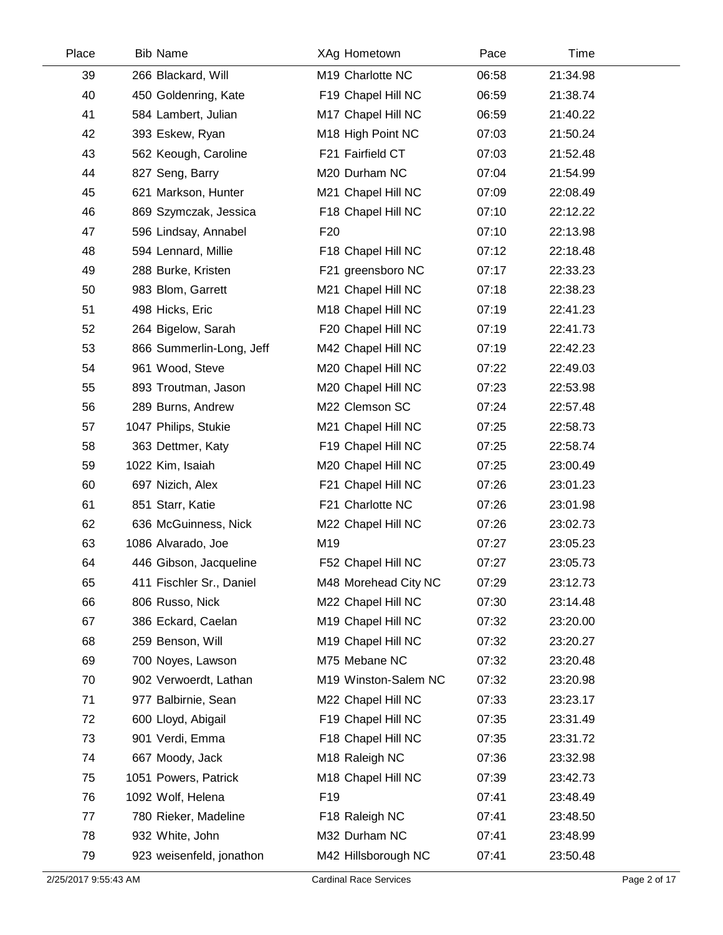| Place | <b>Bib Name</b>          | XAg Hometown               | Pace  | Time     |  |
|-------|--------------------------|----------------------------|-------|----------|--|
| 39    | 266 Blackard, Will       | M19 Charlotte NC           | 06:58 | 21:34.98 |  |
| 40    | 450 Goldenring, Kate     | F19 Chapel Hill NC         | 06:59 | 21:38.74 |  |
| 41    | 584 Lambert, Julian      | M17 Chapel Hill NC         | 06:59 | 21:40.22 |  |
| 42    | 393 Eskew, Ryan          | M18 High Point NC          | 07:03 | 21:50.24 |  |
| 43    | 562 Keough, Caroline     | F21 Fairfield CT           | 07:03 | 21:52.48 |  |
| 44    | 827 Seng, Barry          | M20 Durham NC              | 07:04 | 21:54.99 |  |
| 45    | 621 Markson, Hunter      | M21 Chapel Hill NC         | 07:09 | 22:08.49 |  |
| 46    | 869 Szymczak, Jessica    | F18 Chapel Hill NC         | 07:10 | 22:12.22 |  |
| 47    | 596 Lindsay, Annabel     | F <sub>20</sub>            | 07:10 | 22:13.98 |  |
| 48    | 594 Lennard, Millie      | F18 Chapel Hill NC         | 07:12 | 22:18.48 |  |
| 49    | 288 Burke, Kristen       | F21 greensboro NC          | 07:17 | 22:33.23 |  |
| 50    | 983 Blom, Garrett        | M21 Chapel Hill NC         | 07:18 | 22:38.23 |  |
| 51    | 498 Hicks, Eric          | M18 Chapel Hill NC         | 07:19 | 22:41.23 |  |
| 52    | 264 Bigelow, Sarah       | F20 Chapel Hill NC         | 07:19 | 22:41.73 |  |
| 53    | 866 Summerlin-Long, Jeff | M42 Chapel Hill NC         | 07:19 | 22:42.23 |  |
| 54    | 961 Wood, Steve          | M20 Chapel Hill NC         | 07:22 | 22:49.03 |  |
| 55    | 893 Troutman, Jason      | M20 Chapel Hill NC         | 07:23 | 22:53.98 |  |
| 56    | 289 Burns, Andrew        | M22 Clemson SC             | 07:24 | 22:57.48 |  |
| 57    | 1047 Philips, Stukie     | M21 Chapel Hill NC         | 07:25 | 22:58.73 |  |
| 58    | 363 Dettmer, Katy        | F19 Chapel Hill NC         | 07:25 | 22:58.74 |  |
| 59    | 1022 Kim, Isaiah         | M20 Chapel Hill NC         | 07:25 | 23:00.49 |  |
| 60    | 697 Nizich, Alex         | F21 Chapel Hill NC         | 07:26 | 23:01.23 |  |
| 61    | 851 Starr, Katie         | F21 Charlotte NC           | 07:26 | 23:01.98 |  |
| 62    | 636 McGuinness, Nick     | M22 Chapel Hill NC         | 07:26 | 23:02.73 |  |
| 63    | 1086 Alvarado, Joe       | M19                        | 07:27 | 23:05.23 |  |
| 64    | 446 Gibson, Jacqueline   | F52 Chapel Hill NC         | 07:27 | 23:05.73 |  |
| 65    | 411 Fischler Sr., Daniel | M48 Morehead City NC       | 07:29 | 23:12.73 |  |
| 66    | 806 Russo, Nick          | M22 Chapel Hill NC         | 07:30 | 23:14.48 |  |
| 67    | 386 Eckard, Caelan       | M19 Chapel Hill NC         | 07:32 | 23:20.00 |  |
| 68    | 259 Benson, Will         | M19 Chapel Hill NC         | 07:32 | 23:20.27 |  |
| 69    | 700 Noyes, Lawson        | M75 Mebane NC              | 07:32 | 23:20.48 |  |
| 70    | 902 Verwoerdt, Lathan    | M19 Winston-Salem NC       | 07:32 | 23:20.98 |  |
| 71    | 977 Balbirnie, Sean      | M22 Chapel Hill NC         | 07:33 | 23:23.17 |  |
| 72    | 600 Lloyd, Abigail       | F19 Chapel Hill NC         | 07:35 | 23:31.49 |  |
| 73    | 901 Verdi, Emma          | F18 Chapel Hill NC         | 07:35 | 23:31.72 |  |
| 74    | 667 Moody, Jack          | M <sub>18</sub> Raleigh NC | 07:36 | 23:32.98 |  |
| 75    | 1051 Powers, Patrick     | M18 Chapel Hill NC         | 07:39 | 23:42.73 |  |
| 76    | 1092 Wolf, Helena        | F <sub>19</sub>            | 07:41 | 23:48.49 |  |
| 77    | 780 Rieker, Madeline     | F18 Raleigh NC             | 07:41 | 23:48.50 |  |
| 78    | 932 White, John          | M32 Durham NC              | 07:41 | 23:48.99 |  |
| 79    | 923 weisenfeld, jonathon | M42 Hillsborough NC        | 07:41 | 23:50.48 |  |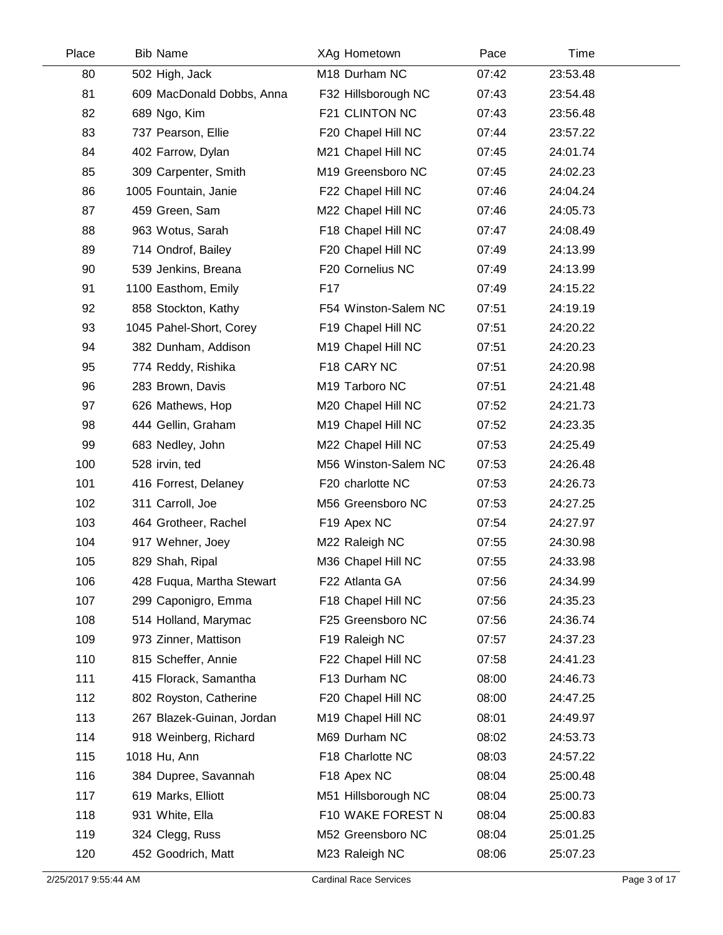| Place | <b>Bib Name</b>           | XAg Hometown         | Pace  | Time     |  |
|-------|---------------------------|----------------------|-------|----------|--|
| 80    | 502 High, Jack            | M18 Durham NC        | 07:42 | 23:53.48 |  |
| 81    | 609 MacDonald Dobbs, Anna | F32 Hillsborough NC  | 07:43 | 23:54.48 |  |
| 82    | 689 Ngo, Kim              | F21 CLINTON NC       | 07:43 | 23:56.48 |  |
| 83    | 737 Pearson, Ellie        | F20 Chapel Hill NC   | 07:44 | 23:57.22 |  |
| 84    | 402 Farrow, Dylan         | M21 Chapel Hill NC   | 07:45 | 24:01.74 |  |
| 85    | 309 Carpenter, Smith      | M19 Greensboro NC    | 07:45 | 24:02.23 |  |
| 86    | 1005 Fountain, Janie      | F22 Chapel Hill NC   | 07:46 | 24:04.24 |  |
| 87    | 459 Green, Sam            | M22 Chapel Hill NC   | 07:46 | 24:05.73 |  |
| 88    | 963 Wotus, Sarah          | F18 Chapel Hill NC   | 07:47 | 24:08.49 |  |
| 89    | 714 Ondrof, Bailey        | F20 Chapel Hill NC   | 07:49 | 24:13.99 |  |
| 90    | 539 Jenkins, Breana       | F20 Cornelius NC     | 07:49 | 24:13.99 |  |
| 91    | 1100 Easthom, Emily       | F17                  | 07:49 | 24:15.22 |  |
| 92    | 858 Stockton, Kathy       | F54 Winston-Salem NC | 07:51 | 24:19.19 |  |
| 93    | 1045 Pahel-Short, Corey   | F19 Chapel Hill NC   | 07:51 | 24:20.22 |  |
| 94    | 382 Dunham, Addison       | M19 Chapel Hill NC   | 07:51 | 24:20.23 |  |
| 95    | 774 Reddy, Rishika        | F18 CARY NC          | 07:51 | 24:20.98 |  |
| 96    | 283 Brown, Davis          | M19 Tarboro NC       | 07:51 | 24:21.48 |  |
| 97    | 626 Mathews, Hop          | M20 Chapel Hill NC   | 07:52 | 24:21.73 |  |
| 98    | 444 Gellin, Graham        | M19 Chapel Hill NC   | 07:52 | 24:23.35 |  |
| 99    | 683 Nedley, John          | M22 Chapel Hill NC   | 07:53 | 24:25.49 |  |
| 100   | 528 irvin, ted            | M56 Winston-Salem NC | 07:53 | 24:26.48 |  |
| 101   | 416 Forrest, Delaney      | F20 charlotte NC     | 07:53 | 24:26.73 |  |
| 102   | 311 Carroll, Joe          | M56 Greensboro NC    | 07:53 | 24:27.25 |  |
| 103   | 464 Grotheer, Rachel      | F19 Apex NC          | 07:54 | 24:27.97 |  |
| 104   | 917 Wehner, Joey          | M22 Raleigh NC       | 07:55 | 24:30.98 |  |
| 105   | 829 Shah, Ripal           | M36 Chapel Hill NC   | 07:55 | 24:33.98 |  |
| 106   | 428 Fuqua, Martha Stewart | F22 Atlanta GA       | 07:56 | 24:34.99 |  |
| 107   | 299 Caponigro, Emma       | F18 Chapel Hill NC   | 07:56 | 24:35.23 |  |
| 108   | 514 Holland, Marymac      | F25 Greensboro NC    | 07:56 | 24:36.74 |  |
| 109   | 973 Zinner, Mattison      | F19 Raleigh NC       | 07:57 | 24:37.23 |  |
| 110   | 815 Scheffer, Annie       | F22 Chapel Hill NC   | 07:58 | 24:41.23 |  |
| 111   | 415 Florack, Samantha     | F13 Durham NC        | 08:00 | 24:46.73 |  |
| 112   | 802 Royston, Catherine    | F20 Chapel Hill NC   | 08:00 | 24:47.25 |  |
| 113   | 267 Blazek-Guinan, Jordan | M19 Chapel Hill NC   | 08:01 | 24:49.97 |  |
| 114   | 918 Weinberg, Richard     | M69 Durham NC        | 08:02 | 24:53.73 |  |
| 115   | 1018 Hu, Ann              | F18 Charlotte NC     | 08:03 | 24:57.22 |  |
| 116   | 384 Dupree, Savannah      | F18 Apex NC          | 08:04 | 25:00.48 |  |
| 117   | 619 Marks, Elliott        | M51 Hillsborough NC  | 08:04 | 25:00.73 |  |
| 118   | 931 White, Ella           | F10 WAKE FOREST N    | 08:04 | 25:00.83 |  |
| 119   | 324 Clegg, Russ           | M52 Greensboro NC    | 08:04 | 25:01.25 |  |
| 120   | 452 Goodrich, Matt        | M23 Raleigh NC       | 08:06 | 25:07.23 |  |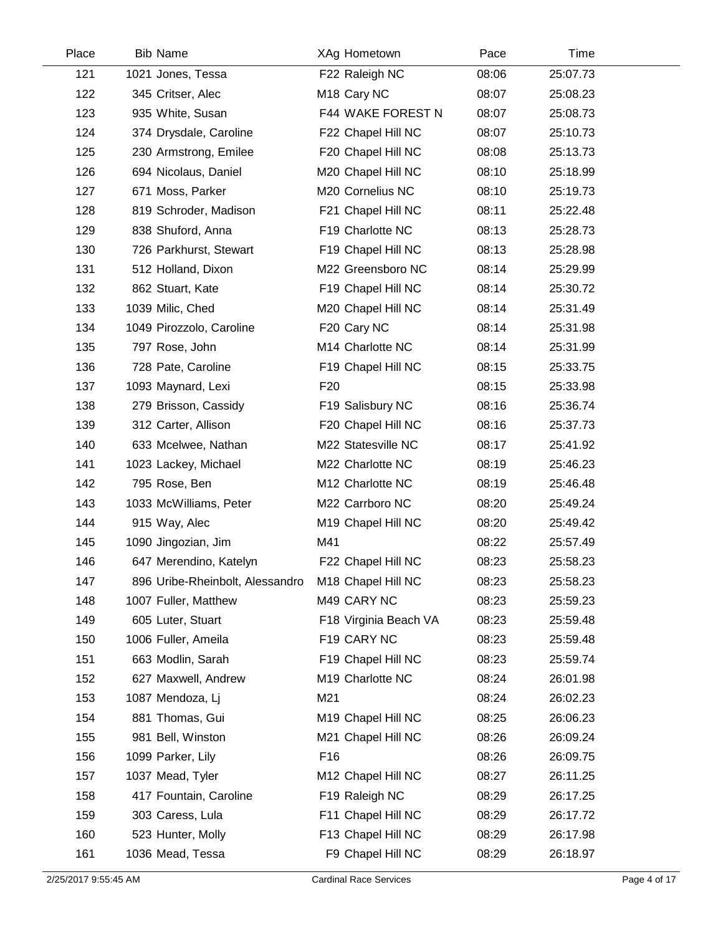| Place | <b>Bib Name</b>                 | XAg Hometown                 | Pace  | Time     |  |
|-------|---------------------------------|------------------------------|-------|----------|--|
| 121   | 1021 Jones, Tessa               | F22 Raleigh NC               | 08:06 | 25:07.73 |  |
| 122   | 345 Critser, Alec               | M <sub>18</sub> Cary NC      | 08:07 | 25:08.23 |  |
| 123   | 935 White, Susan                | F44 WAKE FOREST N            | 08:07 | 25:08.73 |  |
| 124   | 374 Drysdale, Caroline          | F22 Chapel Hill NC           | 08:07 | 25:10.73 |  |
| 125   | 230 Armstrong, Emilee           | F20 Chapel Hill NC           | 08:08 | 25:13.73 |  |
| 126   | 694 Nicolaus, Daniel            | M20 Chapel Hill NC           | 08:10 | 25:18.99 |  |
| 127   | 671 Moss, Parker                | M20 Cornelius NC             | 08:10 | 25:19.73 |  |
| 128   | 819 Schroder, Madison           | F21 Chapel Hill NC           | 08:11 | 25:22.48 |  |
| 129   | 838 Shuford, Anna               | F19 Charlotte NC             | 08:13 | 25:28.73 |  |
| 130   | 726 Parkhurst, Stewart          | F19 Chapel Hill NC           | 08:13 | 25:28.98 |  |
| 131   | 512 Holland, Dixon              | M22 Greensboro NC            | 08:14 | 25:29.99 |  |
| 132   | 862 Stuart, Kate                | F19 Chapel Hill NC           | 08:14 | 25:30.72 |  |
| 133   | 1039 Milic, Ched                | M20 Chapel Hill NC           | 08:14 | 25:31.49 |  |
| 134   | 1049 Pirozzolo, Caroline        | F20 Cary NC                  | 08:14 | 25:31.98 |  |
| 135   | 797 Rose, John                  | M14 Charlotte NC             | 08:14 | 25:31.99 |  |
| 136   | 728 Pate, Caroline              | F19 Chapel Hill NC           | 08:15 | 25:33.75 |  |
| 137   | 1093 Maynard, Lexi              | F <sub>20</sub>              | 08:15 | 25:33.98 |  |
| 138   | 279 Brisson, Cassidy            | F19 Salisbury NC             | 08:16 | 25:36.74 |  |
| 139   | 312 Carter, Allison             | F20 Chapel Hill NC           | 08:16 | 25:37.73 |  |
| 140   | 633 Mcelwee, Nathan             | M22 Statesville NC           | 08:17 | 25:41.92 |  |
| 141   | 1023 Lackey, Michael            | M22 Charlotte NC             | 08:19 | 25:46.23 |  |
| 142   | 795 Rose, Ben                   | M12 Charlotte NC             | 08:19 | 25:46.48 |  |
| 143   | 1033 McWilliams, Peter          | M22 Carrboro NC              | 08:20 | 25:49.24 |  |
| 144   | 915 Way, Alec                   | M19 Chapel Hill NC           | 08:20 | 25:49.42 |  |
| 145   | 1090 Jingozian, Jim             | M41                          | 08:22 | 25:57.49 |  |
| 146   | 647 Merendino, Katelyn          | F22 Chapel Hill NC           | 08:23 | 25:58.23 |  |
| 147   | 896 Uribe-Rheinbolt, Alessandro | M18 Chapel Hill NC           | 08:23 | 25:58.23 |  |
| 148   | 1007 Fuller, Matthew            | M49 CARY NC                  | 08:23 | 25:59.23 |  |
| 149   | 605 Luter, Stuart               | F18 Virginia Beach VA        | 08:23 | 25:59.48 |  |
| 150   | 1006 Fuller, Ameila             | F19 CARY NC                  | 08:23 | 25:59.48 |  |
| 151   | 663 Modlin, Sarah               | F19 Chapel Hill NC           | 08:23 | 25:59.74 |  |
| 152   | 627 Maxwell, Andrew             | M <sub>19</sub> Charlotte NC | 08:24 | 26:01.98 |  |
| 153   | 1087 Mendoza, Lj                | M21                          | 08:24 | 26:02.23 |  |
| 154   | 881 Thomas, Gui                 | M19 Chapel Hill NC           | 08:25 | 26:06.23 |  |
| 155   | 981 Bell, Winston               | M21 Chapel Hill NC           | 08:26 | 26:09.24 |  |
| 156   | 1099 Parker, Lily               | F16                          | 08:26 | 26:09.75 |  |
| 157   | 1037 Mead, Tyler                | M12 Chapel Hill NC           | 08:27 | 26:11.25 |  |
| 158   | 417 Fountain, Caroline          | F19 Raleigh NC               | 08:29 | 26:17.25 |  |
| 159   | 303 Caress, Lula                | F11 Chapel Hill NC           | 08:29 | 26:17.72 |  |
| 160   | 523 Hunter, Molly               | F13 Chapel Hill NC           | 08:29 | 26:17.98 |  |
| 161   | 1036 Mead, Tessa                | F9 Chapel Hill NC            | 08:29 | 26:18.97 |  |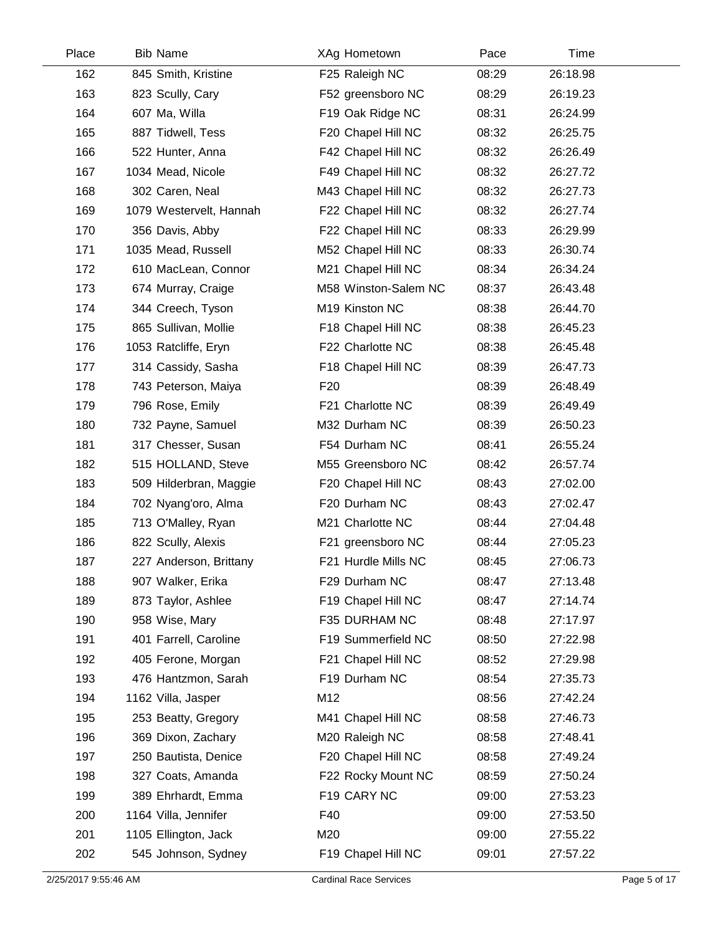| Place | <b>Bib Name</b>         | XAg Hometown         | Pace  | Time     |  |
|-------|-------------------------|----------------------|-------|----------|--|
| 162   | 845 Smith, Kristine     | F25 Raleigh NC       | 08:29 | 26:18.98 |  |
| 163   | 823 Scully, Cary        | F52 greensboro NC    | 08:29 | 26:19.23 |  |
| 164   | 607 Ma, Willa           | F19 Oak Ridge NC     | 08:31 | 26:24.99 |  |
| 165   | 887 Tidwell, Tess       | F20 Chapel Hill NC   | 08:32 | 26:25.75 |  |
| 166   | 522 Hunter, Anna        | F42 Chapel Hill NC   | 08:32 | 26:26.49 |  |
| 167   | 1034 Mead, Nicole       | F49 Chapel Hill NC   | 08:32 | 26:27.72 |  |
| 168   | 302 Caren, Neal         | M43 Chapel Hill NC   | 08:32 | 26:27.73 |  |
| 169   | 1079 Westervelt, Hannah | F22 Chapel Hill NC   | 08:32 | 26:27.74 |  |
| 170   | 356 Davis, Abby         | F22 Chapel Hill NC   | 08:33 | 26:29.99 |  |
| 171   | 1035 Mead, Russell      | M52 Chapel Hill NC   | 08:33 | 26:30.74 |  |
| 172   | 610 MacLean, Connor     | M21 Chapel Hill NC   | 08:34 | 26:34.24 |  |
| 173   | 674 Murray, Craige      | M58 Winston-Salem NC | 08:37 | 26:43.48 |  |
| 174   | 344 Creech, Tyson       | M19 Kinston NC       | 08:38 | 26:44.70 |  |
| 175   | 865 Sullivan, Mollie    | F18 Chapel Hill NC   | 08:38 | 26:45.23 |  |
| 176   | 1053 Ratcliffe, Eryn    | F22 Charlotte NC     | 08:38 | 26:45.48 |  |
| 177   | 314 Cassidy, Sasha      | F18 Chapel Hill NC   | 08:39 | 26:47.73 |  |
| 178   | 743 Peterson, Maiya     | F <sub>20</sub>      | 08:39 | 26:48.49 |  |
| 179   | 796 Rose, Emily         | F21 Charlotte NC     | 08:39 | 26:49.49 |  |
| 180   | 732 Payne, Samuel       | M32 Durham NC        | 08:39 | 26:50.23 |  |
| 181   | 317 Chesser, Susan      | F54 Durham NC        | 08:41 | 26:55.24 |  |
| 182   | 515 HOLLAND, Steve      | M55 Greensboro NC    | 08:42 | 26:57.74 |  |
| 183   | 509 Hilderbran, Maggie  | F20 Chapel Hill NC   | 08:43 | 27:02.00 |  |
| 184   | 702 Nyang'oro, Alma     | F20 Durham NC        | 08:43 | 27:02.47 |  |
| 185   | 713 O'Malley, Ryan      | M21 Charlotte NC     | 08:44 | 27:04.48 |  |
| 186   | 822 Scully, Alexis      | F21 greensboro NC    | 08:44 | 27:05.23 |  |
| 187   | 227 Anderson, Brittany  | F21 Hurdle Mills NC  | 08:45 | 27:06.73 |  |
| 188   | 907 Walker, Erika       | F29 Durham NC        | 08:47 | 27:13.48 |  |
| 189   | 873 Taylor, Ashlee      | F19 Chapel Hill NC   | 08:47 | 27:14.74 |  |
| 190   | 958 Wise, Mary          | F35 DURHAM NC        | 08:48 | 27:17.97 |  |
| 191   | 401 Farrell, Caroline   | F19 Summerfield NC   | 08:50 | 27:22.98 |  |
| 192   | 405 Ferone, Morgan      | F21 Chapel Hill NC   | 08:52 | 27:29.98 |  |
| 193   | 476 Hantzmon, Sarah     | F19 Durham NC        | 08:54 | 27:35.73 |  |
| 194   | 1162 Villa, Jasper      | M12                  | 08:56 | 27:42.24 |  |
| 195   | 253 Beatty, Gregory     | M41 Chapel Hill NC   | 08:58 | 27:46.73 |  |
| 196   | 369 Dixon, Zachary      | M20 Raleigh NC       | 08:58 | 27:48.41 |  |
| 197   | 250 Bautista, Denice    | F20 Chapel Hill NC   | 08:58 | 27:49.24 |  |
| 198   | 327 Coats, Amanda       | F22 Rocky Mount NC   | 08:59 | 27:50.24 |  |
| 199   | 389 Ehrhardt, Emma      | F19 CARY NC          | 09:00 | 27:53.23 |  |
| 200   | 1164 Villa, Jennifer    | F40                  | 09:00 | 27:53.50 |  |
| 201   | 1105 Ellington, Jack    | M20                  | 09:00 | 27:55.22 |  |
| 202   | 545 Johnson, Sydney     | F19 Chapel Hill NC   | 09:01 | 27:57.22 |  |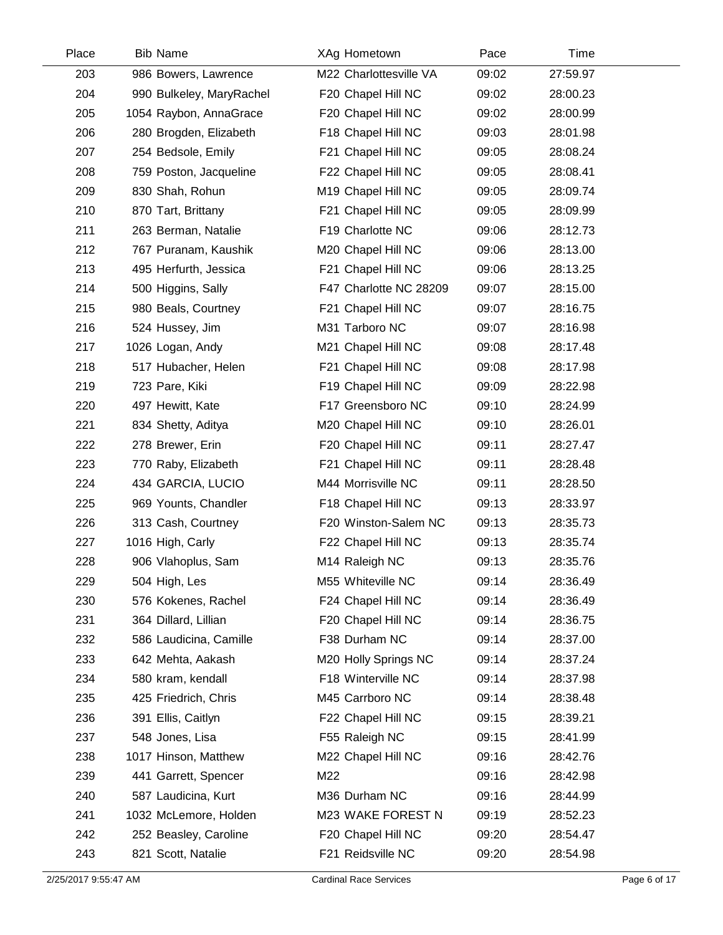| Place | <b>Bib Name</b>          | XAg Hometown           | Pace  | Time     |  |
|-------|--------------------------|------------------------|-------|----------|--|
| 203   | 986 Bowers, Lawrence     | M22 Charlottesville VA | 09:02 | 27:59.97 |  |
| 204   | 990 Bulkeley, MaryRachel | F20 Chapel Hill NC     | 09:02 | 28:00.23 |  |
| 205   | 1054 Raybon, AnnaGrace   | F20 Chapel Hill NC     | 09:02 | 28:00.99 |  |
| 206   | 280 Brogden, Elizabeth   | F18 Chapel Hill NC     | 09:03 | 28:01.98 |  |
| 207   | 254 Bedsole, Emily       | F21 Chapel Hill NC     | 09:05 | 28:08.24 |  |
| 208   | 759 Poston, Jacqueline   | F22 Chapel Hill NC     | 09:05 | 28:08.41 |  |
| 209   | 830 Shah, Rohun          | M19 Chapel Hill NC     | 09:05 | 28:09.74 |  |
| 210   | 870 Tart, Brittany       | F21 Chapel Hill NC     | 09:05 | 28:09.99 |  |
| 211   | 263 Berman, Natalie      | F19 Charlotte NC       | 09:06 | 28:12.73 |  |
| 212   | 767 Puranam, Kaushik     | M20 Chapel Hill NC     | 09:06 | 28:13.00 |  |
| 213   | 495 Herfurth, Jessica    | F21 Chapel Hill NC     | 09:06 | 28:13.25 |  |
| 214   | 500 Higgins, Sally       | F47 Charlotte NC 28209 | 09:07 | 28:15.00 |  |
| 215   | 980 Beals, Courtney      | F21 Chapel Hill NC     | 09:07 | 28:16.75 |  |
| 216   | 524 Hussey, Jim          | M31 Tarboro NC         | 09:07 | 28:16.98 |  |
| 217   | 1026 Logan, Andy         | M21 Chapel Hill NC     | 09:08 | 28:17.48 |  |
| 218   | 517 Hubacher, Helen      | F21 Chapel Hill NC     | 09:08 | 28:17.98 |  |
| 219   | 723 Pare, Kiki           | F19 Chapel Hill NC     | 09:09 | 28:22.98 |  |
| 220   | 497 Hewitt, Kate         | F17 Greensboro NC      | 09:10 | 28:24.99 |  |
| 221   | 834 Shetty, Aditya       | M20 Chapel Hill NC     | 09:10 | 28:26.01 |  |
| 222   | 278 Brewer, Erin         | F20 Chapel Hill NC     | 09:11 | 28:27.47 |  |
| 223   | 770 Raby, Elizabeth      | F21 Chapel Hill NC     | 09:11 | 28:28.48 |  |
| 224   | 434 GARCIA, LUCIO        | M44 Morrisville NC     | 09:11 | 28:28.50 |  |
| 225   | 969 Younts, Chandler     | F18 Chapel Hill NC     | 09:13 | 28:33.97 |  |
| 226   | 313 Cash, Courtney       | F20 Winston-Salem NC   | 09:13 | 28:35.73 |  |
| 227   | 1016 High, Carly         | F22 Chapel Hill NC     | 09:13 | 28:35.74 |  |
| 228   | 906 Vlahoplus, Sam       | M14 Raleigh NC         | 09:13 | 28:35.76 |  |
| 229   | 504 High, Les            | M55 Whiteville NC      | 09:14 | 28:36.49 |  |
| 230   | 576 Kokenes, Rachel      | F24 Chapel Hill NC     | 09:14 | 28:36.49 |  |
| 231   | 364 Dillard, Lillian     | F20 Chapel Hill NC     | 09:14 | 28:36.75 |  |
| 232   | 586 Laudicina, Camille   | F38 Durham NC          | 09:14 | 28:37.00 |  |
| 233   | 642 Mehta, Aakash        | M20 Holly Springs NC   | 09:14 | 28:37.24 |  |
| 234   | 580 kram, kendall        | F18 Winterville NC     | 09:14 | 28:37.98 |  |
| 235   | 425 Friedrich, Chris     | M45 Carrboro NC        | 09:14 | 28:38.48 |  |
| 236   | 391 Ellis, Caitlyn       | F22 Chapel Hill NC     | 09:15 | 28:39.21 |  |
| 237   | 548 Jones, Lisa          | F55 Raleigh NC         | 09:15 | 28:41.99 |  |
| 238   | 1017 Hinson, Matthew     | M22 Chapel Hill NC     | 09:16 | 28:42.76 |  |
| 239   | 441 Garrett, Spencer     | M22                    | 09:16 | 28:42.98 |  |
| 240   | 587 Laudicina, Kurt      | M36 Durham NC          | 09:16 | 28:44.99 |  |
| 241   | 1032 McLemore, Holden    | M23 WAKE FOREST N      | 09:19 | 28:52.23 |  |
| 242   | 252 Beasley, Caroline    | F20 Chapel Hill NC     | 09:20 | 28:54.47 |  |
| 243   | 821 Scott, Natalie       | F21 Reidsville NC      | 09:20 | 28:54.98 |  |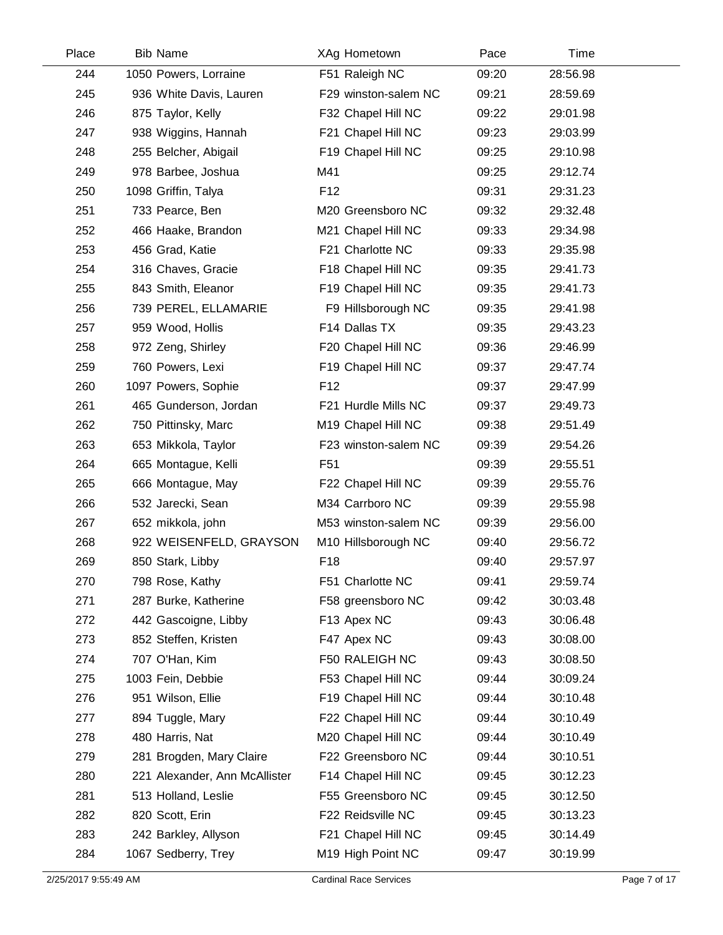| Place | <b>Bib Name</b>               | XAg Hometown         | Pace  | Time     |  |
|-------|-------------------------------|----------------------|-------|----------|--|
| 244   | 1050 Powers, Lorraine         | F51 Raleigh NC       | 09:20 | 28:56.98 |  |
| 245   | 936 White Davis, Lauren       | F29 winston-salem NC | 09:21 | 28:59.69 |  |
| 246   | 875 Taylor, Kelly             | F32 Chapel Hill NC   | 09:22 | 29:01.98 |  |
| 247   | 938 Wiggins, Hannah           | F21 Chapel Hill NC   | 09:23 | 29:03.99 |  |
| 248   | 255 Belcher, Abigail          | F19 Chapel Hill NC   | 09:25 | 29:10.98 |  |
| 249   | 978 Barbee, Joshua            | M41                  | 09:25 | 29:12.74 |  |
| 250   | 1098 Griffin, Talya           | F <sub>12</sub>      | 09:31 | 29:31.23 |  |
| 251   | 733 Pearce, Ben               | M20 Greensboro NC    | 09:32 | 29:32.48 |  |
| 252   | 466 Haake, Brandon            | M21 Chapel Hill NC   | 09:33 | 29:34.98 |  |
| 253   | 456 Grad, Katie               | F21 Charlotte NC     | 09:33 | 29:35.98 |  |
| 254   | 316 Chaves, Gracie            | F18 Chapel Hill NC   | 09:35 | 29:41.73 |  |
| 255   | 843 Smith, Eleanor            | F19 Chapel Hill NC   | 09:35 | 29:41.73 |  |
| 256   | 739 PEREL, ELLAMARIE          | F9 Hillsborough NC   | 09:35 | 29:41.98 |  |
| 257   | 959 Wood, Hollis              | F14 Dallas TX        | 09:35 | 29:43.23 |  |
| 258   | 972 Zeng, Shirley             | F20 Chapel Hill NC   | 09:36 | 29:46.99 |  |
| 259   | 760 Powers, Lexi              | F19 Chapel Hill NC   | 09:37 | 29:47.74 |  |
| 260   | 1097 Powers, Sophie           | F <sub>12</sub>      | 09:37 | 29:47.99 |  |
| 261   | 465 Gunderson, Jordan         | F21 Hurdle Mills NC  | 09:37 | 29:49.73 |  |
| 262   | 750 Pittinsky, Marc           | M19 Chapel Hill NC   | 09:38 | 29:51.49 |  |
| 263   | 653 Mikkola, Taylor           | F23 winston-salem NC | 09:39 | 29:54.26 |  |
| 264   | 665 Montague, Kelli           | F <sub>51</sub>      | 09:39 | 29:55.51 |  |
| 265   | 666 Montague, May             | F22 Chapel Hill NC   | 09:39 | 29:55.76 |  |
| 266   | 532 Jarecki, Sean             | M34 Carrboro NC      | 09:39 | 29:55.98 |  |
| 267   | 652 mikkola, john             | M53 winston-salem NC | 09:39 | 29:56.00 |  |
| 268   | 922 WEISENFELD, GRAYSON       | M10 Hillsborough NC  | 09:40 | 29:56.72 |  |
| 269   | 850 Stark, Libby              | F18                  | 09:40 | 29:57.97 |  |
| 270   | 798 Rose, Kathy               | F51 Charlotte NC     | 09:41 | 29:59.74 |  |
| 271   | 287 Burke, Katherine          | F58 greensboro NC    | 09:42 | 30:03.48 |  |
| 272   | 442 Gascoigne, Libby          | F13 Apex NC          | 09:43 | 30:06.48 |  |
| 273   | 852 Steffen, Kristen          | F47 Apex NC          | 09:43 | 30:08.00 |  |
| 274   | 707 O'Han, Kim                | F50 RALEIGH NC       | 09:43 | 30:08.50 |  |
| 275   | 1003 Fein, Debbie             | F53 Chapel Hill NC   | 09:44 | 30:09.24 |  |
| 276   | 951 Wilson, Ellie             | F19 Chapel Hill NC   | 09:44 | 30:10.48 |  |
| 277   | 894 Tuggle, Mary              | F22 Chapel Hill NC   | 09:44 | 30:10.49 |  |
| 278   | 480 Harris, Nat               | M20 Chapel Hill NC   | 09:44 | 30:10.49 |  |
| 279   | 281 Brogden, Mary Claire      | F22 Greensboro NC    | 09:44 | 30:10.51 |  |
| 280   | 221 Alexander, Ann McAllister | F14 Chapel Hill NC   | 09:45 | 30:12.23 |  |
| 281   | 513 Holland, Leslie           | F55 Greensboro NC    | 09:45 | 30:12.50 |  |
| 282   | 820 Scott, Erin               | F22 Reidsville NC    | 09:45 | 30:13.23 |  |
| 283   | 242 Barkley, Allyson          | F21 Chapel Hill NC   | 09:45 | 30:14.49 |  |
| 284   | 1067 Sedberry, Trey           | M19 High Point NC    | 09:47 | 30:19.99 |  |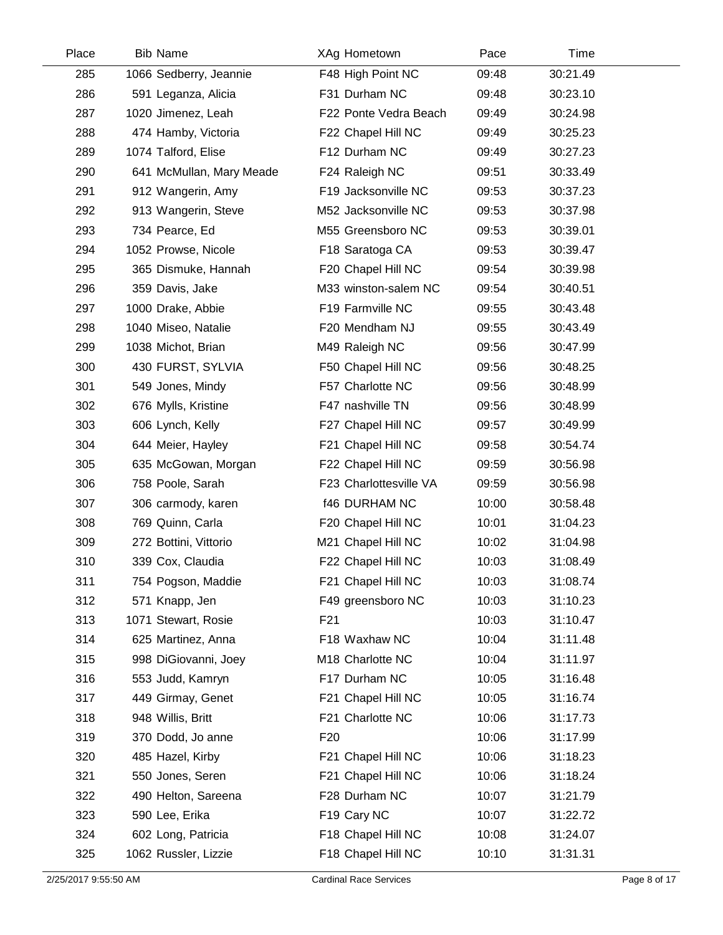| Place | <b>Bib Name</b>          | XAg Hometown           | Pace  | Time     |  |
|-------|--------------------------|------------------------|-------|----------|--|
| 285   | 1066 Sedberry, Jeannie   | F48 High Point NC      | 09:48 | 30:21.49 |  |
| 286   | 591 Leganza, Alicia      | F31 Durham NC          | 09:48 | 30:23.10 |  |
| 287   | 1020 Jimenez, Leah       | F22 Ponte Vedra Beach  | 09:49 | 30:24.98 |  |
| 288   | 474 Hamby, Victoria      | F22 Chapel Hill NC     | 09:49 | 30:25.23 |  |
| 289   | 1074 Talford, Elise      | F12 Durham NC          | 09:49 | 30:27.23 |  |
| 290   | 641 McMullan, Mary Meade | F24 Raleigh NC         | 09:51 | 30:33.49 |  |
| 291   | 912 Wangerin, Amy        | F19 Jacksonville NC    | 09:53 | 30:37.23 |  |
| 292   | 913 Wangerin, Steve      | M52 Jacksonville NC    | 09:53 | 30:37.98 |  |
| 293   | 734 Pearce, Ed           | M55 Greensboro NC      | 09:53 | 30:39.01 |  |
| 294   | 1052 Prowse, Nicole      | F18 Saratoga CA        | 09:53 | 30:39.47 |  |
| 295   | 365 Dismuke, Hannah      | F20 Chapel Hill NC     | 09:54 | 30:39.98 |  |
| 296   | 359 Davis, Jake          | M33 winston-salem NC   | 09:54 | 30:40.51 |  |
| 297   | 1000 Drake, Abbie        | F19 Farmville NC       | 09:55 | 30:43.48 |  |
| 298   | 1040 Miseo, Natalie      | F20 Mendham NJ         | 09:55 | 30:43.49 |  |
| 299   | 1038 Michot, Brian       | M49 Raleigh NC         | 09:56 | 30:47.99 |  |
| 300   | 430 FURST, SYLVIA        | F50 Chapel Hill NC     | 09:56 | 30:48.25 |  |
| 301   | 549 Jones, Mindy         | F57 Charlotte NC       | 09:56 | 30:48.99 |  |
| 302   | 676 Mylls, Kristine      | F47 nashville TN       | 09:56 | 30:48.99 |  |
| 303   | 606 Lynch, Kelly         | F27 Chapel Hill NC     | 09:57 | 30:49.99 |  |
| 304   | 644 Meier, Hayley        | F21 Chapel Hill NC     | 09:58 | 30:54.74 |  |
| 305   | 635 McGowan, Morgan      | F22 Chapel Hill NC     | 09:59 | 30:56.98 |  |
| 306   | 758 Poole, Sarah         | F23 Charlottesville VA | 09:59 | 30:56.98 |  |
| 307   | 306 carmody, karen       | <b>f46 DURHAM NC</b>   | 10:00 | 30:58.48 |  |
| 308   | 769 Quinn, Carla         | F20 Chapel Hill NC     | 10:01 | 31:04.23 |  |
| 309   | 272 Bottini, Vittorio    | M21 Chapel Hill NC     | 10:02 | 31:04.98 |  |
| 310   | 339 Cox, Claudia         | F22 Chapel Hill NC     | 10:03 | 31:08.49 |  |
| 311   | 754 Pogson, Maddie       | F21 Chapel Hill NC     | 10:03 | 31:08.74 |  |
| 312   | 571 Knapp, Jen           | F49 greensboro NC      | 10:03 | 31:10.23 |  |
| 313   | 1071 Stewart, Rosie      | F21                    | 10:03 | 31:10.47 |  |
| 314   | 625 Martinez, Anna       | F18 Waxhaw NC          | 10:04 | 31:11.48 |  |
| 315   | 998 DiGiovanni, Joey     | M18 Charlotte NC       | 10:04 | 31:11.97 |  |
| 316   | 553 Judd, Kamryn         | F17 Durham NC          | 10:05 | 31:16.48 |  |
| 317   | 449 Girmay, Genet        | F21 Chapel Hill NC     | 10:05 | 31:16.74 |  |
| 318   | 948 Willis, Britt        | F21 Charlotte NC       | 10:06 | 31:17.73 |  |
| 319   | 370 Dodd, Jo anne        | F <sub>20</sub>        | 10:06 | 31:17.99 |  |
| 320   | 485 Hazel, Kirby         | F21 Chapel Hill NC     | 10:06 | 31:18.23 |  |
| 321   | 550 Jones, Seren         | F21 Chapel Hill NC     | 10:06 | 31:18.24 |  |
| 322   | 490 Helton, Sareena      | F28 Durham NC          | 10:07 | 31:21.79 |  |
| 323   | 590 Lee, Erika           | F19 Cary NC            | 10:07 | 31:22.72 |  |
| 324   | 602 Long, Patricia       | F18 Chapel Hill NC     | 10:08 | 31:24.07 |  |
| 325   | 1062 Russler, Lizzie     | F18 Chapel Hill NC     | 10:10 | 31:31.31 |  |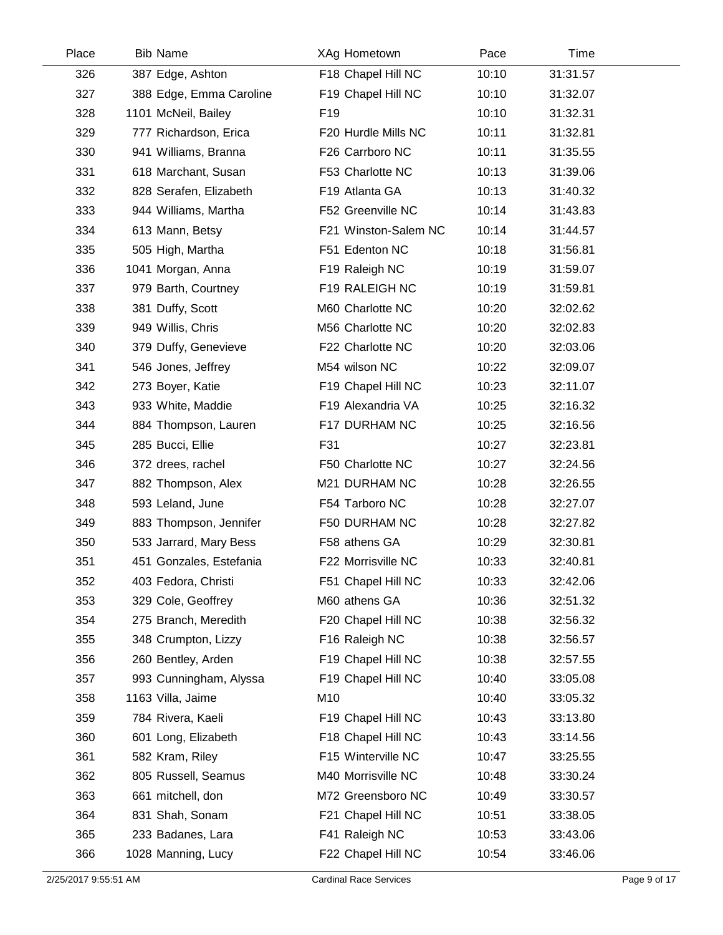| Place | <b>Bib Name</b>         | XAg Hometown         | Pace  | Time     |  |
|-------|-------------------------|----------------------|-------|----------|--|
| 326   | 387 Edge, Ashton        | F18 Chapel Hill NC   | 10:10 | 31:31.57 |  |
| 327   | 388 Edge, Emma Caroline | F19 Chapel Hill NC   | 10:10 | 31:32.07 |  |
| 328   | 1101 McNeil, Bailey     | F <sub>19</sub>      | 10:10 | 31:32.31 |  |
| 329   | 777 Richardson, Erica   | F20 Hurdle Mills NC  | 10:11 | 31:32.81 |  |
| 330   | 941 Williams, Branna    | F26 Carrboro NC      | 10:11 | 31:35.55 |  |
| 331   | 618 Marchant, Susan     | F53 Charlotte NC     | 10:13 | 31:39.06 |  |
| 332   | 828 Serafen, Elizabeth  | F19 Atlanta GA       | 10:13 | 31:40.32 |  |
| 333   | 944 Williams, Martha    | F52 Greenville NC    | 10:14 | 31:43.83 |  |
| 334   | 613 Mann, Betsy         | F21 Winston-Salem NC | 10:14 | 31:44.57 |  |
| 335   | 505 High, Martha        | F51 Edenton NC       | 10:18 | 31:56.81 |  |
| 336   | 1041 Morgan, Anna       | F19 Raleigh NC       | 10:19 | 31:59.07 |  |
| 337   | 979 Barth, Courtney     | F19 RALEIGH NC       | 10:19 | 31:59.81 |  |
| 338   | 381 Duffy, Scott        | M60 Charlotte NC     | 10:20 | 32:02.62 |  |
| 339   | 949 Willis, Chris       | M56 Charlotte NC     | 10:20 | 32:02.83 |  |
| 340   | 379 Duffy, Genevieve    | F22 Charlotte NC     | 10:20 | 32:03.06 |  |
| 341   | 546 Jones, Jeffrey      | M54 wilson NC        | 10:22 | 32:09.07 |  |
| 342   | 273 Boyer, Katie        | F19 Chapel Hill NC   | 10:23 | 32:11.07 |  |
| 343   | 933 White, Maddie       | F19 Alexandria VA    | 10:25 | 32:16.32 |  |
| 344   | 884 Thompson, Lauren    | F17 DURHAM NC        | 10:25 | 32:16.56 |  |
| 345   | 285 Bucci, Ellie        | F31                  | 10:27 | 32:23.81 |  |
| 346   | 372 drees, rachel       | F50 Charlotte NC     | 10:27 | 32:24.56 |  |
| 347   | 882 Thompson, Alex      | M21 DURHAM NC        | 10:28 | 32:26.55 |  |
| 348   | 593 Leland, June        | F54 Tarboro NC       | 10:28 | 32:27.07 |  |
| 349   | 883 Thompson, Jennifer  | F50 DURHAM NC        | 10:28 | 32:27.82 |  |
| 350   | 533 Jarrard, Mary Bess  | F58 athens GA        | 10:29 | 32:30.81 |  |
| 351   | 451 Gonzales, Estefania | F22 Morrisville NC   | 10:33 | 32:40.81 |  |
| 352   | 403 Fedora, Christi     | F51 Chapel Hill NC   | 10:33 | 32:42.06 |  |
| 353   | 329 Cole, Geoffrey      | M60 athens GA        | 10:36 | 32:51.32 |  |
| 354   | 275 Branch, Meredith    | F20 Chapel Hill NC   | 10:38 | 32:56.32 |  |
| 355   | 348 Crumpton, Lizzy     | F16 Raleigh NC       | 10:38 | 32:56.57 |  |
| 356   | 260 Bentley, Arden      | F19 Chapel Hill NC   | 10:38 | 32:57.55 |  |
| 357   | 993 Cunningham, Alyssa  | F19 Chapel Hill NC   | 10:40 | 33:05.08 |  |
| 358   | 1163 Villa, Jaime       | M10                  | 10:40 | 33:05.32 |  |
| 359   | 784 Rivera, Kaeli       | F19 Chapel Hill NC   | 10:43 | 33:13.80 |  |
| 360   | 601 Long, Elizabeth     | F18 Chapel Hill NC   | 10:43 | 33:14.56 |  |
| 361   | 582 Kram, Riley         | F15 Winterville NC   | 10:47 | 33:25.55 |  |
| 362   | 805 Russell, Seamus     | M40 Morrisville NC   | 10:48 | 33:30.24 |  |
| 363   | 661 mitchell, don       | M72 Greensboro NC    | 10:49 | 33:30.57 |  |
| 364   | 831 Shah, Sonam         | F21 Chapel Hill NC   | 10:51 | 33:38.05 |  |
| 365   | 233 Badanes, Lara       | F41 Raleigh NC       | 10:53 | 33:43.06 |  |
| 366   | 1028 Manning, Lucy      | F22 Chapel Hill NC   | 10:54 | 33:46.06 |  |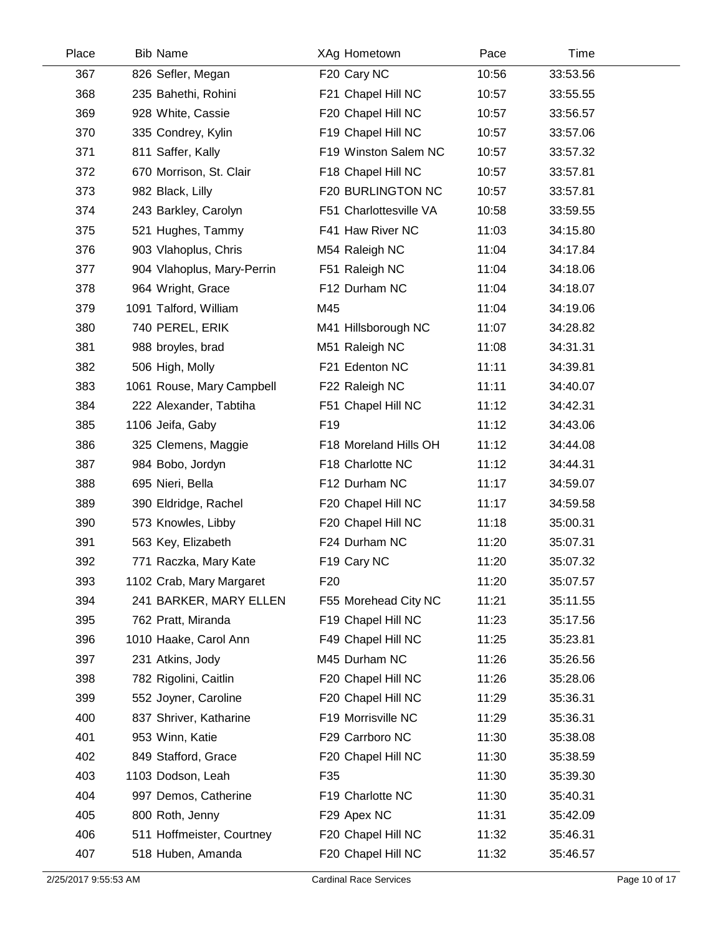| Place | <b>Bib Name</b>            | XAg Hometown           | Pace  | Time     |  |
|-------|----------------------------|------------------------|-------|----------|--|
| 367   | 826 Sefler, Megan          | F20 Cary NC            | 10:56 | 33:53.56 |  |
| 368   | 235 Bahethi, Rohini        | F21 Chapel Hill NC     | 10:57 | 33:55.55 |  |
| 369   | 928 White, Cassie          | F20 Chapel Hill NC     | 10:57 | 33:56.57 |  |
| 370   | 335 Condrey, Kylin         | F19 Chapel Hill NC     | 10:57 | 33:57.06 |  |
| 371   | 811 Saffer, Kally          | F19 Winston Salem NC   | 10:57 | 33:57.32 |  |
| 372   | 670 Morrison, St. Clair    | F18 Chapel Hill NC     | 10:57 | 33:57.81 |  |
| 373   | 982 Black, Lilly           | F20 BURLINGTON NC      | 10:57 | 33:57.81 |  |
| 374   | 243 Barkley, Carolyn       | F51 Charlottesville VA | 10:58 | 33:59.55 |  |
| 375   | 521 Hughes, Tammy          | F41 Haw River NC       | 11:03 | 34:15.80 |  |
| 376   | 903 Vlahoplus, Chris       | M54 Raleigh NC         | 11:04 | 34:17.84 |  |
| 377   | 904 Vlahoplus, Mary-Perrin | F51 Raleigh NC         | 11:04 | 34:18.06 |  |
| 378   | 964 Wright, Grace          | F12 Durham NC          | 11:04 | 34:18.07 |  |
| 379   | 1091 Talford, William      | M45                    | 11:04 | 34:19.06 |  |
| 380   | 740 PEREL, ERIK            | M41 Hillsborough NC    | 11:07 | 34:28.82 |  |
| 381   | 988 broyles, brad          | M51 Raleigh NC         | 11:08 | 34:31.31 |  |
| 382   | 506 High, Molly            | F21 Edenton NC         | 11:11 | 34:39.81 |  |
| 383   | 1061 Rouse, Mary Campbell  | F22 Raleigh NC         | 11:11 | 34:40.07 |  |
| 384   | 222 Alexander, Tabtiha     | F51 Chapel Hill NC     | 11:12 | 34:42.31 |  |
| 385   | 1106 Jeifa, Gaby           | F <sub>19</sub>        | 11:12 | 34:43.06 |  |
| 386   | 325 Clemens, Maggie        | F18 Moreland Hills OH  | 11:12 | 34:44.08 |  |
| 387   | 984 Bobo, Jordyn           | F18 Charlotte NC       | 11:12 | 34:44.31 |  |
| 388   | 695 Nieri, Bella           | F12 Durham NC          | 11:17 | 34:59.07 |  |
| 389   | 390 Eldridge, Rachel       | F20 Chapel Hill NC     | 11:17 | 34:59.58 |  |
| 390   | 573 Knowles, Libby         | F20 Chapel Hill NC     | 11:18 | 35:00.31 |  |
| 391   | 563 Key, Elizabeth         | F24 Durham NC          | 11:20 | 35:07.31 |  |
| 392   | 771 Raczka, Mary Kate      | F19 Cary NC            | 11:20 | 35:07.32 |  |
| 393   | 1102 Crab, Mary Margaret   | F <sub>20</sub>        | 11:20 | 35:07.57 |  |
| 394   | 241 BARKER, MARY ELLEN     | F55 Morehead City NC   | 11:21 | 35:11.55 |  |
| 395   | 762 Pratt, Miranda         | F19 Chapel Hill NC     | 11:23 | 35:17.56 |  |
| 396   | 1010 Haake, Carol Ann      | F49 Chapel Hill NC     | 11:25 | 35:23.81 |  |
| 397   | 231 Atkins, Jody           | M45 Durham NC          | 11:26 | 35:26.56 |  |
| 398   | 782 Rigolini, Caitlin      | F20 Chapel Hill NC     | 11:26 | 35:28.06 |  |
| 399   | 552 Joyner, Caroline       | F20 Chapel Hill NC     | 11:29 | 35:36.31 |  |
| 400   | 837 Shriver, Katharine     | F19 Morrisville NC     | 11:29 | 35:36.31 |  |
| 401   | 953 Winn, Katie            | F29 Carrboro NC        | 11:30 | 35:38.08 |  |
| 402   | 849 Stafford, Grace        | F20 Chapel Hill NC     | 11:30 | 35:38.59 |  |
| 403   | 1103 Dodson, Leah          | F35                    | 11:30 | 35:39.30 |  |
| 404   | 997 Demos, Catherine       | F19 Charlotte NC       | 11:30 | 35:40.31 |  |
| 405   | 800 Roth, Jenny            | F29 Apex NC            | 11:31 | 35:42.09 |  |
| 406   | 511 Hoffmeister, Courtney  | F20 Chapel Hill NC     | 11:32 | 35:46.31 |  |
| 407   | 518 Huben, Amanda          | F20 Chapel Hill NC     | 11:32 | 35:46.57 |  |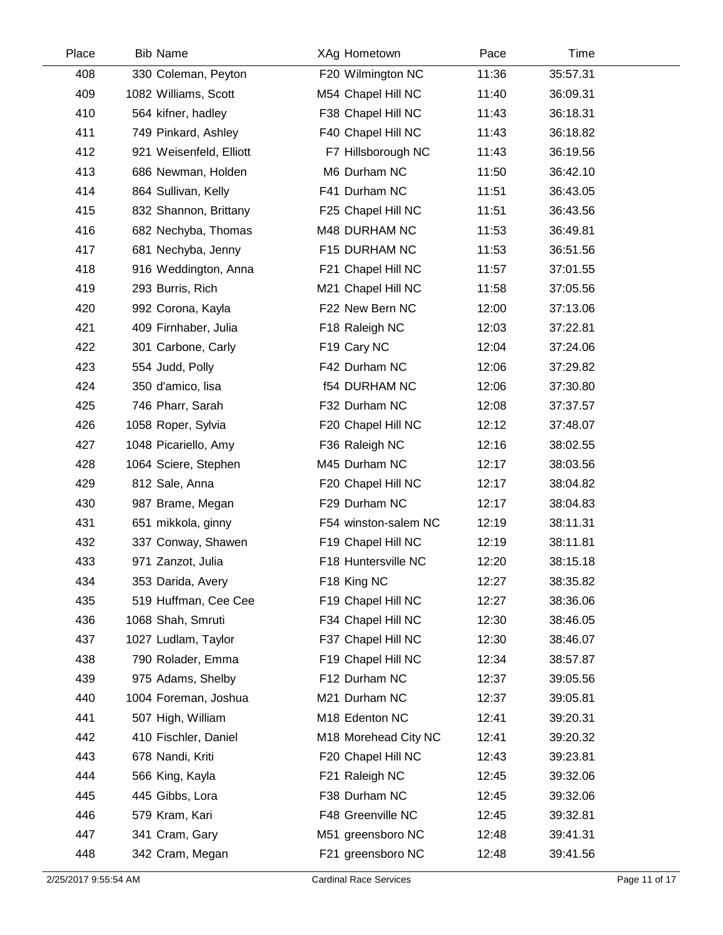| Place | <b>Bib Name</b>         | XAg Hometown         | Pace  | Time     |  |
|-------|-------------------------|----------------------|-------|----------|--|
| 408   | 330 Coleman, Peyton     | F20 Wilmington NC    | 11:36 | 35:57.31 |  |
| 409   | 1082 Williams, Scott    | M54 Chapel Hill NC   | 11:40 | 36:09.31 |  |
| 410   | 564 kifner, hadley      | F38 Chapel Hill NC   | 11:43 | 36:18.31 |  |
| 411   | 749 Pinkard, Ashley     | F40 Chapel Hill NC   | 11:43 | 36:18.82 |  |
| 412   | 921 Weisenfeld, Elliott | F7 Hillsborough NC   | 11:43 | 36:19.56 |  |
| 413   | 686 Newman, Holden      | M6 Durham NC         | 11:50 | 36:42.10 |  |
| 414   | 864 Sullivan, Kelly     | F41 Durham NC        | 11:51 | 36:43.05 |  |
| 415   | 832 Shannon, Brittany   | F25 Chapel Hill NC   | 11:51 | 36:43.56 |  |
| 416   | 682 Nechyba, Thomas     | M48 DURHAM NC        | 11:53 | 36:49.81 |  |
| 417   | 681 Nechyba, Jenny      | F15 DURHAM NC        | 11:53 | 36:51.56 |  |
| 418   | 916 Weddington, Anna    | F21 Chapel Hill NC   | 11:57 | 37:01.55 |  |
| 419   | 293 Burris, Rich        | M21 Chapel Hill NC   | 11:58 | 37:05.56 |  |
| 420   | 992 Corona, Kayla       | F22 New Bern NC      | 12:00 | 37:13.06 |  |
| 421   | 409 Firnhaber, Julia    | F18 Raleigh NC       | 12:03 | 37:22.81 |  |
| 422   | 301 Carbone, Carly      | F19 Cary NC          | 12:04 | 37:24.06 |  |
| 423   | 554 Judd, Polly         | F42 Durham NC        | 12:06 | 37:29.82 |  |
| 424   | 350 d'amico, lisa       | <b>f54 DURHAM NC</b> | 12:06 | 37:30.80 |  |
| 425   | 746 Pharr, Sarah        | F32 Durham NC        | 12:08 | 37:37.57 |  |
| 426   | 1058 Roper, Sylvia      | F20 Chapel Hill NC   | 12:12 | 37:48.07 |  |
| 427   | 1048 Picariello, Amy    | F36 Raleigh NC       | 12:16 | 38:02.55 |  |
| 428   | 1064 Sciere, Stephen    | M45 Durham NC        | 12:17 | 38:03.56 |  |
| 429   | 812 Sale, Anna          | F20 Chapel Hill NC   | 12:17 | 38:04.82 |  |
| 430   | 987 Brame, Megan        | F29 Durham NC        | 12:17 | 38:04.83 |  |
| 431   | 651 mikkola, ginny      | F54 winston-salem NC | 12:19 | 38:11.31 |  |
| 432   | 337 Conway, Shawen      | F19 Chapel Hill NC   | 12:19 | 38:11.81 |  |
| 433   | 971 Zanzot, Julia       | F18 Huntersville NC  | 12:20 | 38:15.18 |  |
| 434   | 353 Darida, Avery       | F18 King NC          | 12:27 | 38:35.82 |  |
| 435   | 519 Huffman, Cee Cee    | F19 Chapel Hill NC   | 12:27 | 38:36.06 |  |
| 436   | 1068 Shah, Smruti       | F34 Chapel Hill NC   | 12:30 | 38:46.05 |  |
| 437   | 1027 Ludlam, Taylor     | F37 Chapel Hill NC   | 12:30 | 38:46.07 |  |
| 438   | 790 Rolader, Emma       | F19 Chapel Hill NC   | 12:34 | 38:57.87 |  |
| 439   | 975 Adams, Shelby       | F12 Durham NC        | 12:37 | 39:05.56 |  |
| 440   | 1004 Foreman, Joshua    | M21 Durham NC        | 12:37 | 39:05.81 |  |
| 441   | 507 High, William       | M18 Edenton NC       | 12:41 | 39:20.31 |  |
| 442   | 410 Fischler, Daniel    | M18 Morehead City NC | 12:41 | 39:20.32 |  |
| 443   | 678 Nandi, Kriti        | F20 Chapel Hill NC   | 12:43 | 39:23.81 |  |
| 444   | 566 King, Kayla         | F21 Raleigh NC       | 12:45 | 39:32.06 |  |
| 445   | 445 Gibbs, Lora         | F38 Durham NC        | 12:45 | 39:32.06 |  |
| 446   | 579 Kram, Kari          | F48 Greenville NC    | 12:45 | 39:32.81 |  |
| 447   | 341 Cram, Gary          | M51 greensboro NC    | 12:48 | 39:41.31 |  |
| 448   | 342 Cram, Megan         | F21 greensboro NC    | 12:48 | 39:41.56 |  |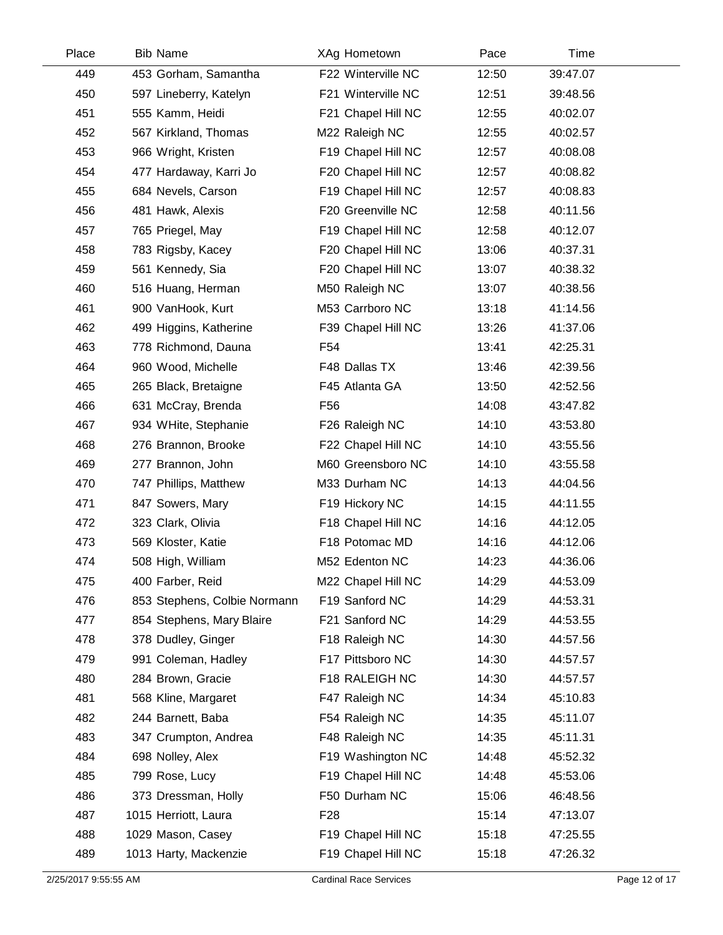| Place | <b>Bib Name</b>              | XAg Hometown       | Pace  | Time     |
|-------|------------------------------|--------------------|-------|----------|
| 449   | 453 Gorham, Samantha         | F22 Winterville NC | 12:50 | 39:47.07 |
| 450   | 597 Lineberry, Katelyn       | F21 Winterville NC | 12:51 | 39:48.56 |
| 451   | 555 Kamm, Heidi              | F21 Chapel Hill NC | 12:55 | 40:02.07 |
| 452   | 567 Kirkland, Thomas         | M22 Raleigh NC     | 12:55 | 40:02.57 |
| 453   | 966 Wright, Kristen          | F19 Chapel Hill NC | 12:57 | 40:08.08 |
| 454   | 477 Hardaway, Karri Jo       | F20 Chapel Hill NC | 12:57 | 40:08.82 |
| 455   | 684 Nevels, Carson           | F19 Chapel Hill NC | 12:57 | 40:08.83 |
| 456   | 481 Hawk, Alexis             | F20 Greenville NC  | 12:58 | 40:11.56 |
| 457   | 765 Priegel, May             | F19 Chapel Hill NC | 12:58 | 40:12.07 |
| 458   | 783 Rigsby, Kacey            | F20 Chapel Hill NC | 13:06 | 40:37.31 |
| 459   | 561 Kennedy, Sia             | F20 Chapel Hill NC | 13:07 | 40:38.32 |
| 460   | 516 Huang, Herman            | M50 Raleigh NC     | 13:07 | 40:38.56 |
| 461   | 900 VanHook, Kurt            | M53 Carrboro NC    | 13:18 | 41:14.56 |
| 462   | 499 Higgins, Katherine       | F39 Chapel Hill NC | 13:26 | 41:37.06 |
| 463   | 778 Richmond, Dauna          | F54                | 13:41 | 42:25.31 |
| 464   | 960 Wood, Michelle           | F48 Dallas TX      | 13:46 | 42:39.56 |
| 465   | 265 Black, Bretaigne         | F45 Atlanta GA     | 13:50 | 42:52.56 |
| 466   | 631 McCray, Brenda           | F <sub>56</sub>    | 14:08 | 43:47.82 |
| 467   | 934 WHite, Stephanie         | F26 Raleigh NC     | 14:10 | 43:53.80 |
| 468   | 276 Brannon, Brooke          | F22 Chapel Hill NC | 14:10 | 43:55.56 |
| 469   | 277 Brannon, John            | M60 Greensboro NC  | 14:10 | 43:55.58 |
| 470   | 747 Phillips, Matthew        | M33 Durham NC      | 14:13 | 44:04.56 |
| 471   | 847 Sowers, Mary             | F19 Hickory NC     | 14:15 | 44:11.55 |
| 472   | 323 Clark, Olivia            | F18 Chapel Hill NC | 14:16 | 44:12.05 |
| 473   | 569 Kloster, Katie           | F18 Potomac MD     | 14:16 | 44:12.06 |
| 474   | 508 High, William            | M52 Edenton NC     | 14:23 | 44:36.06 |
| 475   | 400 Farber, Reid             | M22 Chapel Hill NC | 14:29 | 44:53.09 |
| 476   | 853 Stephens, Colbie Normann | F19 Sanford NC     | 14:29 | 44:53.31 |
| 477   | 854 Stephens, Mary Blaire    | F21 Sanford NC     | 14:29 | 44:53.55 |
| 478   | 378 Dudley, Ginger           | F18 Raleigh NC     | 14:30 | 44:57.56 |
| 479   | 991 Coleman, Hadley          | F17 Pittsboro NC   | 14:30 | 44:57.57 |
| 480   | 284 Brown, Gracie            | F18 RALEIGH NC     | 14:30 | 44:57.57 |
| 481   | 568 Kline, Margaret          | F47 Raleigh NC     | 14:34 | 45:10.83 |
| 482   | 244 Barnett, Baba            | F54 Raleigh NC     | 14:35 | 45:11.07 |
| 483   | 347 Crumpton, Andrea         | F48 Raleigh NC     | 14:35 | 45:11.31 |
| 484   | 698 Nolley, Alex             | F19 Washington NC  | 14:48 | 45:52.32 |
| 485   | 799 Rose, Lucy               | F19 Chapel Hill NC | 14:48 | 45:53.06 |
| 486   | 373 Dressman, Holly          | F50 Durham NC      | 15:06 | 46:48.56 |
| 487   | 1015 Herriott, Laura         | F <sub>28</sub>    | 15:14 | 47:13.07 |
| 488   | 1029 Mason, Casey            | F19 Chapel Hill NC | 15:18 | 47:25.55 |
| 489   | 1013 Harty, Mackenzie        | F19 Chapel Hill NC | 15:18 | 47:26.32 |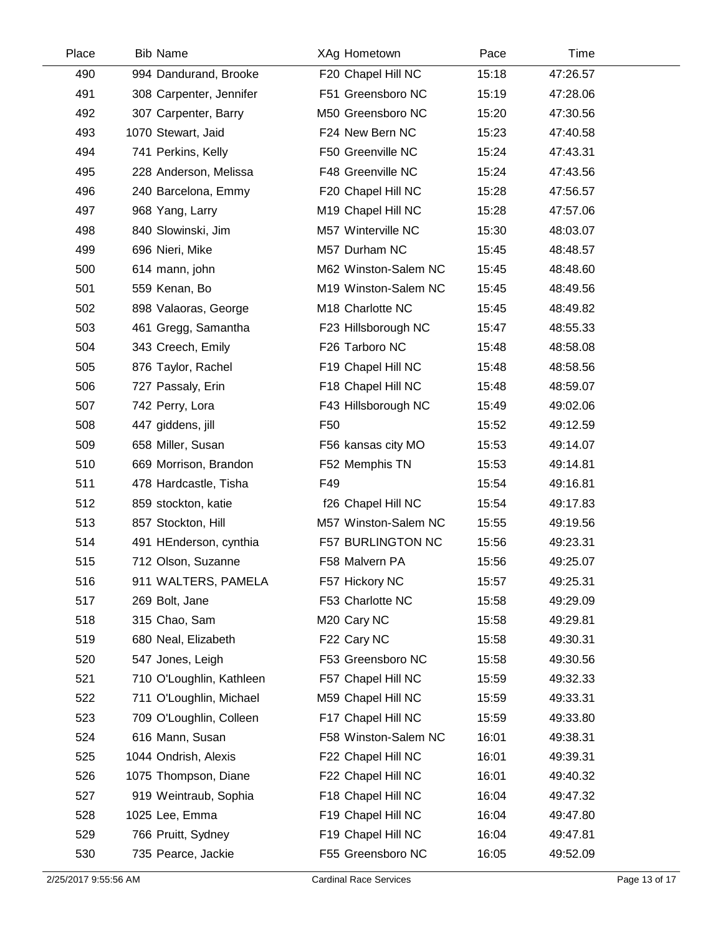| Place | <b>Bib Name</b>          | XAg Hometown            | Pace  | Time     |  |
|-------|--------------------------|-------------------------|-------|----------|--|
| 490   | 994 Dandurand, Brooke    | F20 Chapel Hill NC      | 15:18 | 47:26.57 |  |
| 491   | 308 Carpenter, Jennifer  | F51 Greensboro NC       | 15:19 | 47:28.06 |  |
| 492   | 307 Carpenter, Barry     | M50 Greensboro NC       | 15:20 | 47:30.56 |  |
| 493   | 1070 Stewart, Jaid       | F24 New Bern NC         | 15:23 | 47:40.58 |  |
| 494   | 741 Perkins, Kelly       | F50 Greenville NC       | 15:24 | 47:43.31 |  |
| 495   | 228 Anderson, Melissa    | F48 Greenville NC       | 15:24 | 47:43.56 |  |
| 496   | 240 Barcelona, Emmy      | F20 Chapel Hill NC      | 15:28 | 47:56.57 |  |
| 497   | 968 Yang, Larry          | M19 Chapel Hill NC      | 15:28 | 47:57.06 |  |
| 498   | 840 Slowinski, Jim       | M57 Winterville NC      | 15:30 | 48:03.07 |  |
| 499   | 696 Nieri, Mike          | M57 Durham NC           | 15:45 | 48:48.57 |  |
| 500   | 614 mann, john           | M62 Winston-Salem NC    | 15:45 | 48:48.60 |  |
| 501   | 559 Kenan, Bo            | M19 Winston-Salem NC    | 15:45 | 48:49.56 |  |
| 502   | 898 Valaoras, George     | M18 Charlotte NC        | 15:45 | 48:49.82 |  |
| 503   | 461 Gregg, Samantha      | F23 Hillsborough NC     | 15:47 | 48:55.33 |  |
| 504   | 343 Creech, Emily        | F26 Tarboro NC          | 15:48 | 48:58.08 |  |
| 505   | 876 Taylor, Rachel       | F19 Chapel Hill NC      | 15:48 | 48:58.56 |  |
| 506   | 727 Passaly, Erin        | F18 Chapel Hill NC      | 15:48 | 48:59.07 |  |
| 507   | 742 Perry, Lora          | F43 Hillsborough NC     | 15:49 | 49:02.06 |  |
| 508   | 447 giddens, jill        | F <sub>50</sub>         | 15:52 | 49:12.59 |  |
| 509   | 658 Miller, Susan        | F56 kansas city MO      | 15:53 | 49:14.07 |  |
| 510   | 669 Morrison, Brandon    | F52 Memphis TN          | 15:53 | 49:14.81 |  |
| 511   | 478 Hardcastle, Tisha    | F49                     | 15:54 | 49:16.81 |  |
| 512   | 859 stockton, katie      | f26 Chapel Hill NC      | 15:54 | 49:17.83 |  |
| 513   | 857 Stockton, Hill       | M57 Winston-Salem NC    | 15:55 | 49:19.56 |  |
| 514   | 491 HEnderson, cynthia   | F57 BURLINGTON NC       | 15:56 | 49:23.31 |  |
| 515   | 712 Olson, Suzanne       | F58 Malvern PA          | 15:56 | 49:25.07 |  |
| 516   | 911 WALTERS, PAMELA      | F57 Hickory NC          | 15:57 | 49:25.31 |  |
| 517   | 269 Bolt, Jane           | F53 Charlotte NC        | 15:58 | 49:29.09 |  |
| 518   | 315 Chao, Sam            | M <sub>20</sub> Cary NC | 15:58 | 49:29.81 |  |
| 519   | 680 Neal, Elizabeth      | F22 Cary NC             | 15:58 | 49:30.31 |  |
| 520   | 547 Jones, Leigh         | F53 Greensboro NC       | 15:58 | 49:30.56 |  |
| 521   | 710 O'Loughlin, Kathleen | F57 Chapel Hill NC      | 15:59 | 49:32.33 |  |
| 522   | 711 O'Loughlin, Michael  | M59 Chapel Hill NC      | 15:59 | 49:33.31 |  |
| 523   | 709 O'Loughlin, Colleen  | F17 Chapel Hill NC      | 15:59 | 49:33.80 |  |
| 524   | 616 Mann, Susan          | F58 Winston-Salem NC    | 16:01 | 49:38.31 |  |
| 525   | 1044 Ondrish, Alexis     | F22 Chapel Hill NC      | 16:01 | 49:39.31 |  |
| 526   | 1075 Thompson, Diane     | F22 Chapel Hill NC      | 16:01 | 49:40.32 |  |
| 527   | 919 Weintraub, Sophia    | F18 Chapel Hill NC      | 16:04 | 49:47.32 |  |
| 528   | 1025 Lee, Emma           | F19 Chapel Hill NC      | 16:04 | 49:47.80 |  |
| 529   | 766 Pruitt, Sydney       | F19 Chapel Hill NC      | 16:04 | 49:47.81 |  |
| 530   | 735 Pearce, Jackie       | F55 Greensboro NC       | 16:05 | 49:52.09 |  |
|       |                          |                         |       |          |  |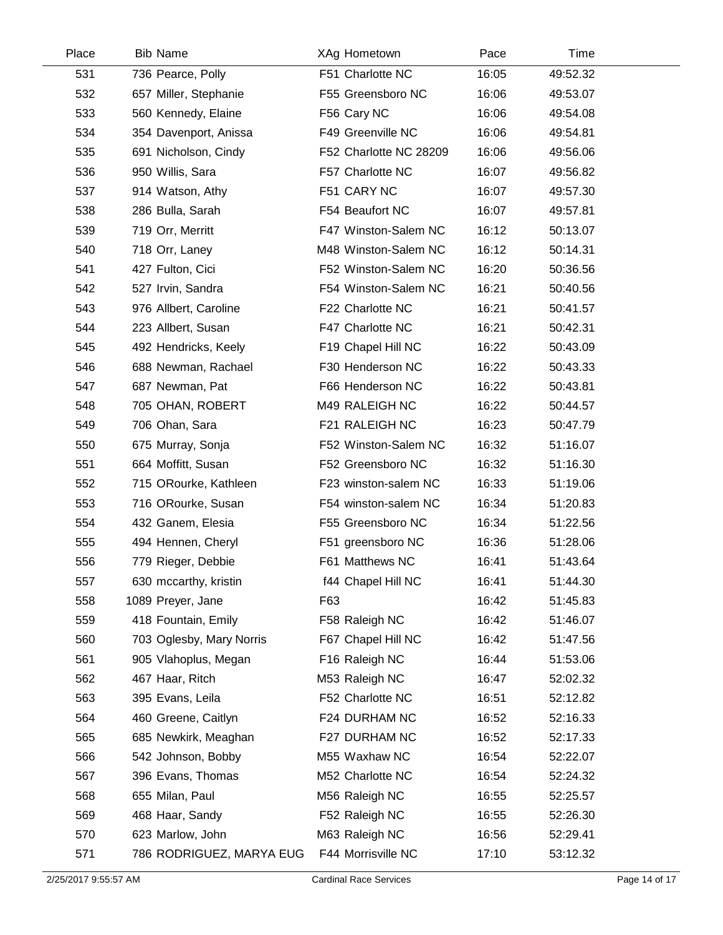| Place | <b>Bib Name</b>          | XAg Hometown           | Pace  | Time     |  |
|-------|--------------------------|------------------------|-------|----------|--|
| 531   | 736 Pearce, Polly        | F51 Charlotte NC       | 16:05 | 49:52.32 |  |
| 532   | 657 Miller, Stephanie    | F55 Greensboro NC      | 16:06 | 49:53.07 |  |
| 533   | 560 Kennedy, Elaine      | F56 Cary NC            | 16:06 | 49:54.08 |  |
| 534   | 354 Davenport, Anissa    | F49 Greenville NC      | 16:06 | 49:54.81 |  |
| 535   | 691 Nicholson, Cindy     | F52 Charlotte NC 28209 | 16:06 | 49:56.06 |  |
| 536   | 950 Willis, Sara         | F57 Charlotte NC       | 16:07 | 49:56.82 |  |
| 537   | 914 Watson, Athy         | F51 CARY NC            | 16:07 | 49:57.30 |  |
| 538   | 286 Bulla, Sarah         | F54 Beaufort NC        | 16:07 | 49:57.81 |  |
| 539   | 719 Orr, Merritt         | F47 Winston-Salem NC   | 16:12 | 50:13.07 |  |
| 540   | 718 Orr, Laney           | M48 Winston-Salem NC   | 16:12 | 50:14.31 |  |
| 541   | 427 Fulton, Cici         | F52 Winston-Salem NC   | 16:20 | 50:36.56 |  |
| 542   | 527 Irvin, Sandra        | F54 Winston-Salem NC   | 16:21 | 50:40.56 |  |
| 543   | 976 Allbert, Caroline    | F22 Charlotte NC       | 16:21 | 50:41.57 |  |
| 544   | 223 Allbert, Susan       | F47 Charlotte NC       | 16:21 | 50:42.31 |  |
| 545   | 492 Hendricks, Keely     | F19 Chapel Hill NC     | 16:22 | 50:43.09 |  |
| 546   | 688 Newman, Rachael      | F30 Henderson NC       | 16:22 | 50:43.33 |  |
| 547   | 687 Newman, Pat          | F66 Henderson NC       | 16:22 | 50:43.81 |  |
| 548   | 705 OHAN, ROBERT         | M49 RALEIGH NC         | 16:22 | 50:44.57 |  |
| 549   | 706 Ohan, Sara           | F21 RALEIGH NC         | 16:23 | 50:47.79 |  |
| 550   | 675 Murray, Sonja        | F52 Winston-Salem NC   | 16:32 | 51:16.07 |  |
| 551   | 664 Moffitt, Susan       | F52 Greensboro NC      | 16:32 | 51:16.30 |  |
| 552   | 715 ORourke, Kathleen    | F23 winston-salem NC   | 16:33 | 51:19.06 |  |
| 553   | 716 ORourke, Susan       | F54 winston-salem NC   | 16:34 | 51:20.83 |  |
| 554   | 432 Ganem, Elesia        | F55 Greensboro NC      | 16:34 | 51:22.56 |  |
| 555   | 494 Hennen, Cheryl       | F51 greensboro NC      | 16:36 | 51:28.06 |  |
| 556   | 779 Rieger, Debbie       | F61 Matthews NC        | 16:41 | 51:43.64 |  |
| 557   | 630 mccarthy, kristin    | f44 Chapel Hill NC     | 16:41 | 51:44.30 |  |
| 558   | 1089 Preyer, Jane        | F63                    | 16:42 | 51:45.83 |  |
| 559   | 418 Fountain, Emily      | F58 Raleigh NC         | 16:42 | 51:46.07 |  |
| 560   | 703 Oglesby, Mary Norris | F67 Chapel Hill NC     | 16:42 | 51:47.56 |  |
| 561   | 905 Vlahoplus, Megan     | F16 Raleigh NC         | 16:44 | 51:53.06 |  |
| 562   | 467 Haar, Ritch          | M53 Raleigh NC         | 16:47 | 52:02.32 |  |
| 563   | 395 Evans, Leila         | F52 Charlotte NC       | 16:51 | 52:12.82 |  |
| 564   | 460 Greene, Caitlyn      | F24 DURHAM NC          | 16:52 | 52:16.33 |  |
| 565   | 685 Newkirk, Meaghan     | F27 DURHAM NC          | 16:52 | 52:17.33 |  |
| 566   | 542 Johnson, Bobby       | M55 Waxhaw NC          | 16:54 | 52:22.07 |  |
| 567   | 396 Evans, Thomas        | M52 Charlotte NC       | 16:54 | 52:24.32 |  |
| 568   | 655 Milan, Paul          | M56 Raleigh NC         | 16:55 | 52:25.57 |  |
| 569   | 468 Haar, Sandy          | F52 Raleigh NC         | 16:55 | 52:26.30 |  |
| 570   | 623 Marlow, John         | M63 Raleigh NC         | 16:56 | 52:29.41 |  |
| 571   | 786 RODRIGUEZ, MARYA EUG | F44 Morrisville NC     | 17:10 | 53:12.32 |  |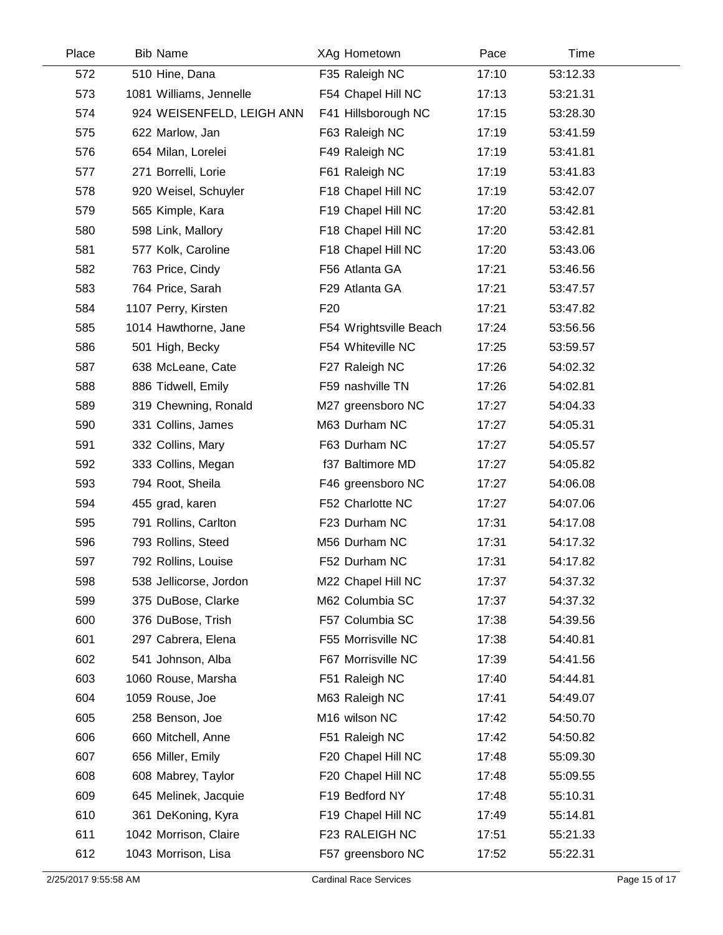| Place | <b>Bib Name</b>           | XAg Hometown           | Pace  | Time     |  |
|-------|---------------------------|------------------------|-------|----------|--|
| 572   | 510 Hine, Dana            | F35 Raleigh NC         | 17:10 | 53:12.33 |  |
| 573   | 1081 Williams, Jennelle   | F54 Chapel Hill NC     | 17:13 | 53:21.31 |  |
| 574   | 924 WEISENFELD, LEIGH ANN | F41 Hillsborough NC    | 17:15 | 53:28.30 |  |
| 575   | 622 Marlow, Jan           | F63 Raleigh NC         | 17:19 | 53:41.59 |  |
| 576   | 654 Milan, Lorelei        | F49 Raleigh NC         | 17:19 | 53:41.81 |  |
| 577   | 271 Borrelli, Lorie       | F61 Raleigh NC         | 17:19 | 53:41.83 |  |
| 578   | 920 Weisel, Schuyler      | F18 Chapel Hill NC     | 17:19 | 53:42.07 |  |
| 579   | 565 Kimple, Kara          | F19 Chapel Hill NC     | 17:20 | 53:42.81 |  |
| 580   | 598 Link, Mallory         | F18 Chapel Hill NC     | 17:20 | 53:42.81 |  |
| 581   | 577 Kolk, Caroline        | F18 Chapel Hill NC     | 17:20 | 53:43.06 |  |
| 582   | 763 Price, Cindy          | F56 Atlanta GA         | 17:21 | 53:46.56 |  |
| 583   | 764 Price, Sarah          | F29 Atlanta GA         | 17:21 | 53:47.57 |  |
| 584   | 1107 Perry, Kirsten       | F <sub>20</sub>        | 17:21 | 53:47.82 |  |
| 585   | 1014 Hawthorne, Jane      | F54 Wrightsville Beach | 17:24 | 53:56.56 |  |
| 586   | 501 High, Becky           | F54 Whiteville NC      | 17:25 | 53:59.57 |  |
| 587   | 638 McLeane, Cate         | F27 Raleigh NC         | 17:26 | 54:02.32 |  |
| 588   | 886 Tidwell, Emily        | F59 nashville TN       | 17:26 | 54:02.81 |  |
| 589   | 319 Chewning, Ronald      | M27 greensboro NC      | 17:27 | 54:04.33 |  |
| 590   | 331 Collins, James        | M63 Durham NC          | 17:27 | 54:05.31 |  |
| 591   | 332 Collins, Mary         | F63 Durham NC          | 17:27 | 54:05.57 |  |
| 592   | 333 Collins, Megan        | f37 Baltimore MD       | 17:27 | 54:05.82 |  |
| 593   | 794 Root, Sheila          | F46 greensboro NC      | 17:27 | 54:06.08 |  |
| 594   | 455 grad, karen           | F52 Charlotte NC       | 17:27 | 54:07.06 |  |
| 595   | 791 Rollins, Carlton      | F23 Durham NC          | 17:31 | 54:17.08 |  |
| 596   | 793 Rollins, Steed        | M56 Durham NC          | 17:31 | 54:17.32 |  |
| 597   | 792 Rollins, Louise       | F52 Durham NC          | 17:31 | 54:17.82 |  |
| 598   | 538 Jellicorse, Jordon    | M22 Chapel Hill NC     | 17:37 | 54:37.32 |  |
| 599   | 375 DuBose, Clarke        | M62 Columbia SC        | 17:37 | 54:37.32 |  |
| 600   | 376 DuBose, Trish         | F57 Columbia SC        | 17:38 | 54:39.56 |  |
| 601   | 297 Cabrera, Elena        | F55 Morrisville NC     | 17:38 | 54:40.81 |  |
| 602   | 541 Johnson, Alba         | F67 Morrisville NC     | 17:39 | 54:41.56 |  |
| 603   | 1060 Rouse, Marsha        | F51 Raleigh NC         | 17:40 | 54:44.81 |  |
| 604   | 1059 Rouse, Joe           | M63 Raleigh NC         | 17:41 | 54:49.07 |  |
| 605   | 258 Benson, Joe           | M16 wilson NC          | 17:42 | 54:50.70 |  |
| 606   | 660 Mitchell, Anne        | F51 Raleigh NC         | 17:42 | 54:50.82 |  |
| 607   | 656 Miller, Emily         | F20 Chapel Hill NC     | 17:48 | 55:09.30 |  |
| 608   | 608 Mabrey, Taylor        | F20 Chapel Hill NC     | 17:48 | 55:09.55 |  |
| 609   | 645 Melinek, Jacquie      | F19 Bedford NY         | 17:48 | 55:10.31 |  |
| 610   | 361 DeKoning, Kyra        | F19 Chapel Hill NC     | 17:49 | 55:14.81 |  |
| 611   | 1042 Morrison, Claire     | F23 RALEIGH NC         | 17:51 | 55:21.33 |  |
| 612   | 1043 Morrison, Lisa       | F57 greensboro NC      | 17:52 | 55:22.31 |  |
|       |                           |                        |       |          |  |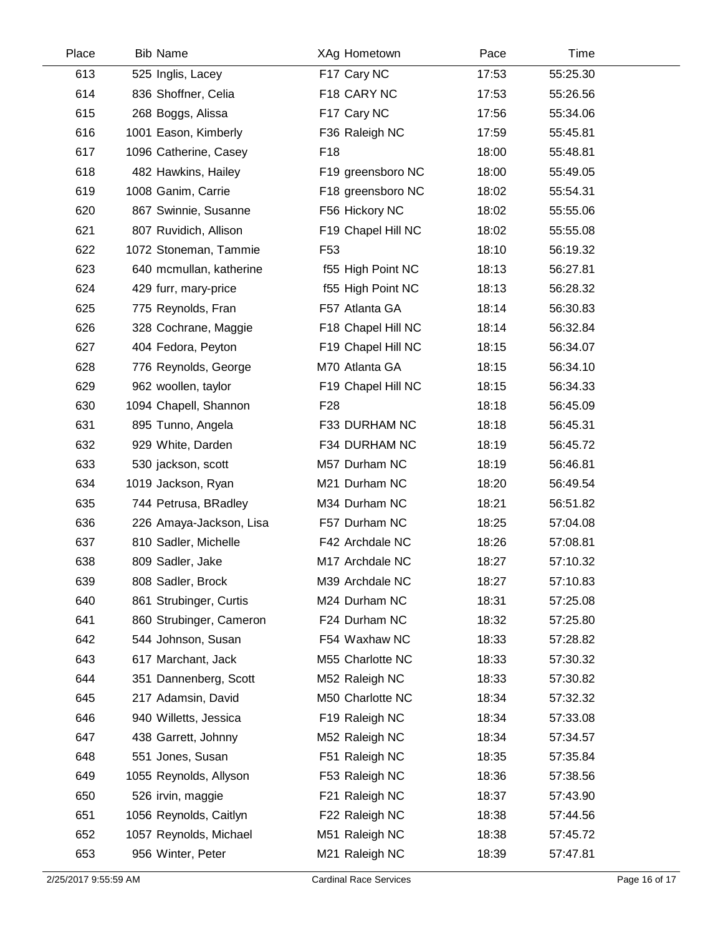| Place | <b>Bib Name</b>         | XAg Hometown       | Pace  | Time     |  |
|-------|-------------------------|--------------------|-------|----------|--|
| 613   | 525 Inglis, Lacey       | F17 Cary NC        | 17:53 | 55:25.30 |  |
| 614   | 836 Shoffner, Celia     | F18 CARY NC        | 17:53 | 55:26.56 |  |
| 615   | 268 Boggs, Alissa       | F17 Cary NC        | 17:56 | 55:34.06 |  |
| 616   | 1001 Eason, Kimberly    | F36 Raleigh NC     | 17:59 | 55:45.81 |  |
| 617   | 1096 Catherine, Casey   | F <sub>18</sub>    | 18:00 | 55:48.81 |  |
| 618   | 482 Hawkins, Hailey     | F19 greensboro NC  | 18:00 | 55:49.05 |  |
| 619   | 1008 Ganim, Carrie      | F18 greensboro NC  | 18:02 | 55:54.31 |  |
| 620   | 867 Swinnie, Susanne    | F56 Hickory NC     | 18:02 | 55:55.06 |  |
| 621   | 807 Ruvidich, Allison   | F19 Chapel Hill NC | 18:02 | 55:55.08 |  |
| 622   | 1072 Stoneman, Tammie   | F <sub>53</sub>    | 18:10 | 56:19.32 |  |
| 623   | 640 mcmullan, katherine | f55 High Point NC  | 18:13 | 56:27.81 |  |
| 624   | 429 furr, mary-price    | f55 High Point NC  | 18:13 | 56:28.32 |  |
| 625   | 775 Reynolds, Fran      | F57 Atlanta GA     | 18:14 | 56:30.83 |  |
| 626   | 328 Cochrane, Maggie    | F18 Chapel Hill NC | 18:14 | 56:32.84 |  |
| 627   | 404 Fedora, Peyton      | F19 Chapel Hill NC | 18:15 | 56:34.07 |  |
| 628   | 776 Reynolds, George    | M70 Atlanta GA     | 18:15 | 56:34.10 |  |
| 629   | 962 woollen, taylor     | F19 Chapel Hill NC | 18:15 | 56:34.33 |  |
| 630   | 1094 Chapell, Shannon   | F <sub>28</sub>    | 18:18 | 56:45.09 |  |
| 631   | 895 Tunno, Angela       | F33 DURHAM NC      | 18:18 | 56:45.31 |  |
| 632   | 929 White, Darden       | F34 DURHAM NC      | 18:19 | 56:45.72 |  |
| 633   | 530 jackson, scott      | M57 Durham NC      | 18:19 | 56:46.81 |  |
| 634   | 1019 Jackson, Ryan      | M21 Durham NC      | 18:20 | 56:49.54 |  |
| 635   | 744 Petrusa, BRadley    | M34 Durham NC      | 18:21 | 56:51.82 |  |
| 636   | 226 Amaya-Jackson, Lisa | F57 Durham NC      | 18:25 | 57:04.08 |  |
| 637   | 810 Sadler, Michelle    | F42 Archdale NC    | 18:26 | 57:08.81 |  |
| 638   | 809 Sadler, Jake        | M17 Archdale NC    | 18:27 | 57:10.32 |  |
| 639   | 808 Sadler, Brock       | M39 Archdale NC    | 18:27 | 57:10.83 |  |
| 640   | 861 Strubinger, Curtis  | M24 Durham NC      | 18:31 | 57:25.08 |  |
| 641   | 860 Strubinger, Cameron | F24 Durham NC      | 18:32 | 57:25.80 |  |
| 642   | 544 Johnson, Susan      | F54 Waxhaw NC      | 18:33 | 57:28.82 |  |
| 643   | 617 Marchant, Jack      | M55 Charlotte NC   | 18:33 | 57:30.32 |  |
| 644   | 351 Dannenberg, Scott   | M52 Raleigh NC     | 18:33 | 57:30.82 |  |
| 645   | 217 Adamsin, David      | M50 Charlotte NC   | 18:34 | 57:32.32 |  |
| 646   | 940 Willetts, Jessica   | F19 Raleigh NC     | 18:34 | 57:33.08 |  |
| 647   | 438 Garrett, Johnny     | M52 Raleigh NC     | 18:34 | 57:34.57 |  |
| 648   | 551 Jones, Susan        | F51 Raleigh NC     | 18:35 | 57:35.84 |  |
| 649   | 1055 Reynolds, Allyson  | F53 Raleigh NC     | 18:36 | 57:38.56 |  |
| 650   | 526 irvin, maggie       | F21 Raleigh NC     | 18:37 | 57:43.90 |  |
| 651   | 1056 Reynolds, Caitlyn  | F22 Raleigh NC     | 18:38 | 57:44.56 |  |
| 652   | 1057 Reynolds, Michael  | M51 Raleigh NC     | 18:38 | 57:45.72 |  |
| 653   | 956 Winter, Peter       | M21 Raleigh NC     | 18:39 | 57:47.81 |  |